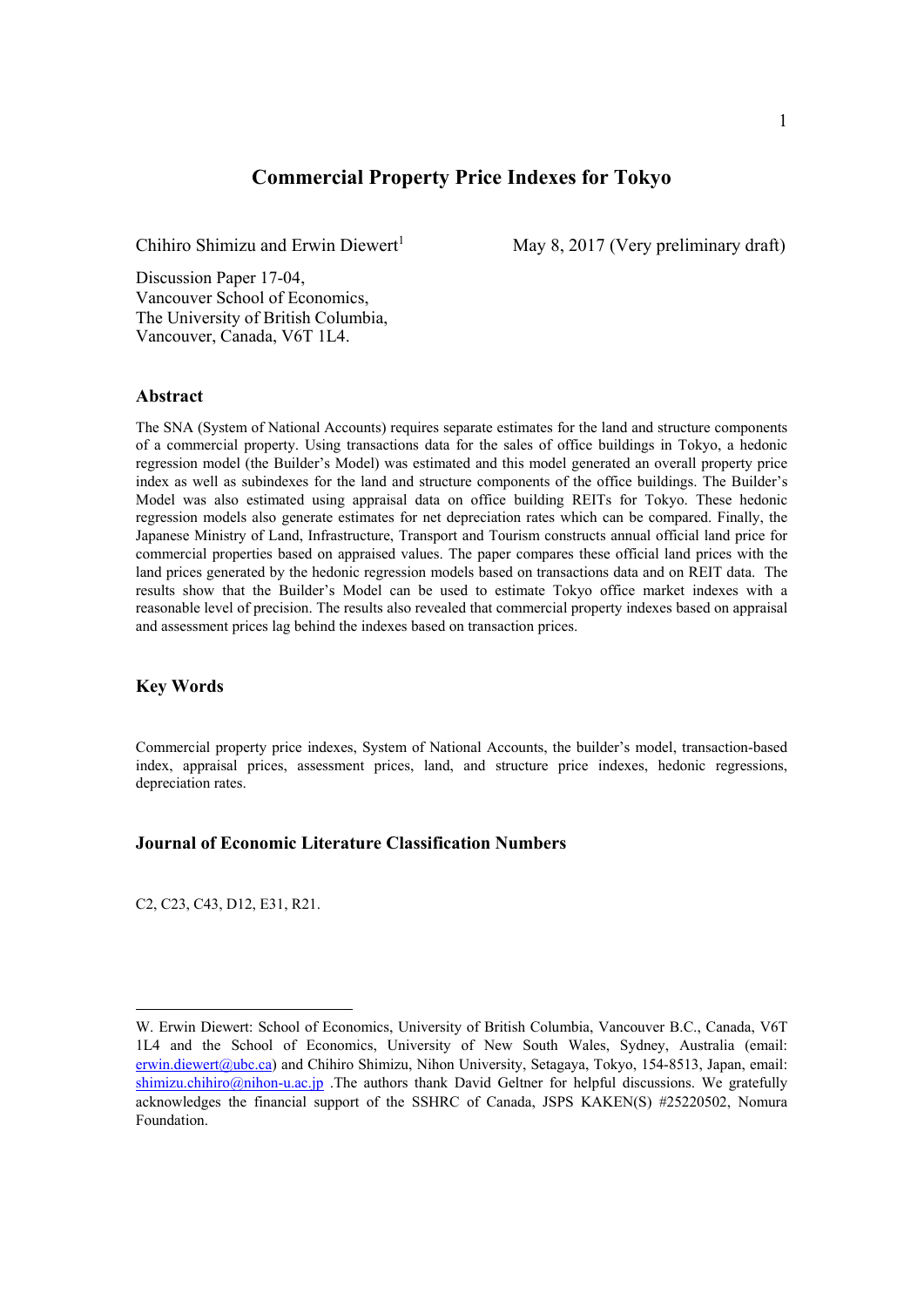## **Commercial Property Price Indexes for Tokyo**

Chihiro Shimizu and Erwin Diewert<sup>1</sup>

May 8, 2017 (Very preliminary draft)

Discussion Paper 17-04, Vancouver School of Economics, The University of British Columbia, Vancouver, Canada, V6T 1L4.

#### **Abstract**

The SNA (System of National Accounts) requires separate estimates for the land and structure components of a commercial property. Using transactions data for the sales of office buildings in Tokyo, a hedonic regression model (the Builder's Model) was estimated and this model generated an overall property price index as well as subindexes for the land and structure components of the office buildings. The Builder's Model was also estimated using appraisal data on office building REITs for Tokyo. These hedonic regression models also generate estimates for net depreciation rates which can be compared. Finally, the Japanese Ministry of Land, Infrastructure, Transport and Tourism constructs annual official land price for commercial properties based on appraised values. The paper compares these official land prices with the land prices generated by the hedonic regression models based on transactions data and on REIT data. The results show that the Builder's Model can be used to estimate Tokyo office market indexes with a reasonable level of precision. The results also revealed that commercial property indexes based on appraisal and assessment prices lag behind the indexes based on transaction prices.

#### **Key Words**

Commercial property price indexes, System of National Accounts, the builder's model, transaction-based index, appraisal prices, assessment prices, land, and structure price indexes, hedonic regressions, depreciation rates.

## **Journal of Economic Literature Classification Numbers**

C2, C23, C43, D12, E31, R21.

W. Erwin Diewert: School of Economics, University of British Columbia, Vancouver B.C., Canada, V6T 1L4 and the School of Economics, University of New South Wales, Sydney, Australia (email: erwin.diewert@ubc.ca) and Chihiro Shimizu, Nihon University, Setagaya, Tokyo, 154-8513, Japan, email: shimizu.chihiro@nihon-u.ac.jp .The authors thank David Geltner for helpful discussions. We gratefully acknowledges the financial support of the SSHRC of Canada, JSPS KAKEN(S) #25220502, Nomura Foundation.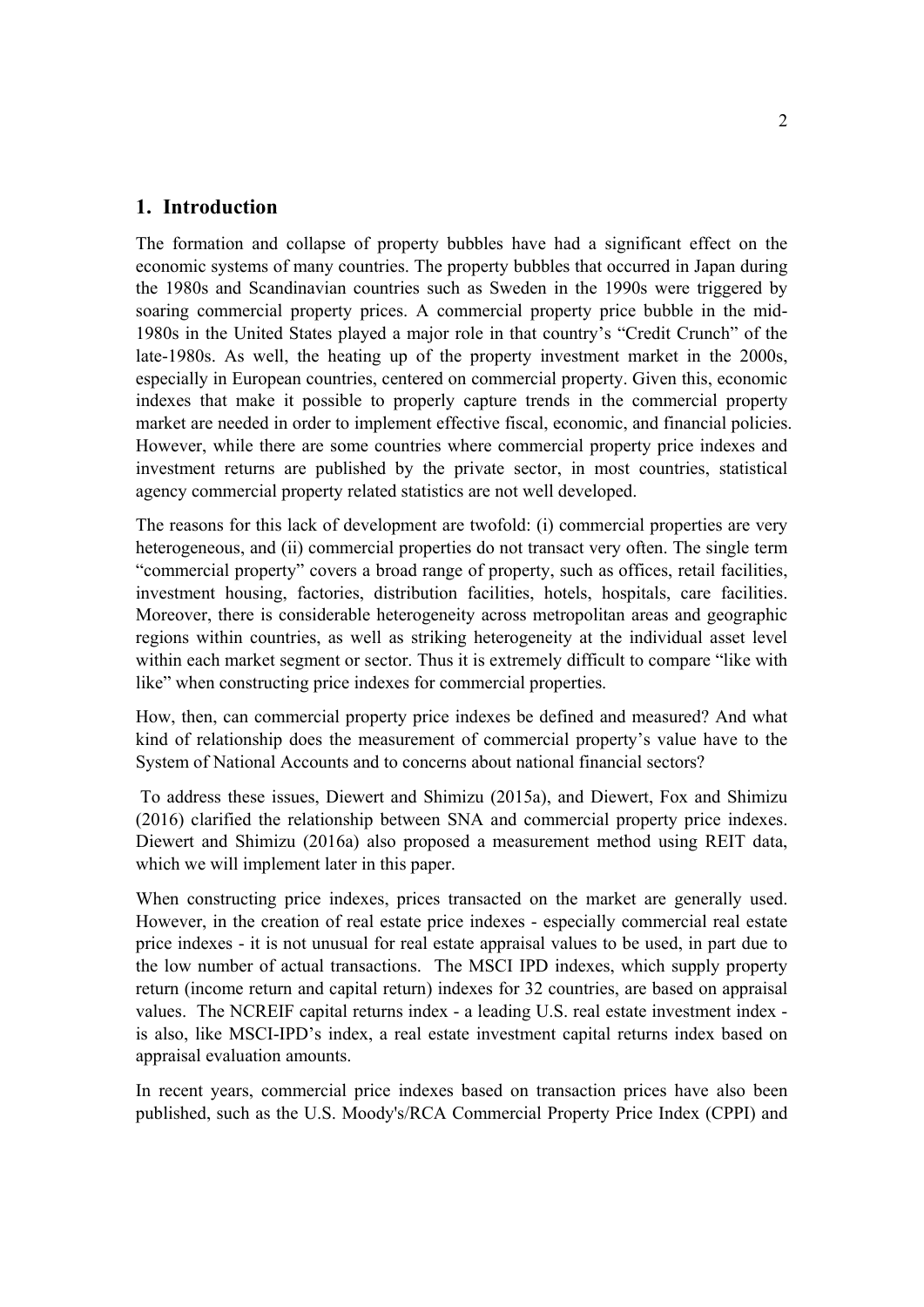## **1. Introduction**

The formation and collapse of property bubbles have had a significant effect on the economic systems of many countries. The property bubbles that occurred in Japan during the 1980s and Scandinavian countries such as Sweden in the 1990s were triggered by soaring commercial property prices. A commercial property price bubble in the mid-1980s in the United States played a major role in that country's "Credit Crunch" of the late-1980s. As well, the heating up of the property investment market in the 2000s, especially in European countries, centered on commercial property. Given this, economic indexes that make it possible to properly capture trends in the commercial property market are needed in order to implement effective fiscal, economic, and financial policies. However, while there are some countries where commercial property price indexes and investment returns are published by the private sector, in most countries, statistical agency commercial property related statistics are not well developed.

The reasons for this lack of development are twofold: (i) commercial properties are very heterogeneous, and (ii) commercial properties do not transact very often. The single term "commercial property" covers a broad range of property, such as offices, retail facilities, investment housing, factories, distribution facilities, hotels, hospitals, care facilities. Moreover, there is considerable heterogeneity across metropolitan areas and geographic regions within countries, as well as striking heterogeneity at the individual asset level within each market segment or sector. Thus it is extremely difficult to compare "like with like" when constructing price indexes for commercial properties.

How, then, can commercial property price indexes be defined and measured? And what kind of relationship does the measurement of commercial property's value have to the System of National Accounts and to concerns about national financial sectors?

 To address these issues, Diewert and Shimizu (2015a), and Diewert, Fox and Shimizu (2016) clarified the relationship between SNA and commercial property price indexes. Diewert and Shimizu (2016a) also proposed a measurement method using REIT data, which we will implement later in this paper.

When constructing price indexes, prices transacted on the market are generally used. However, in the creation of real estate price indexes - especially commercial real estate price indexes - it is not unusual for real estate appraisal values to be used, in part due to the low number of actual transactions. The MSCI IPD indexes, which supply property return (income return and capital return) indexes for 32 countries, are based on appraisal values. The NCREIF capital returns index - a leading U.S. real estate investment index is also, like MSCI-IPD's index, a real estate investment capital returns index based on appraisal evaluation amounts.

In recent years, commercial price indexes based on transaction prices have also been published, such as the U.S. Moody's/RCA Commercial Property Price Index (CPPI) and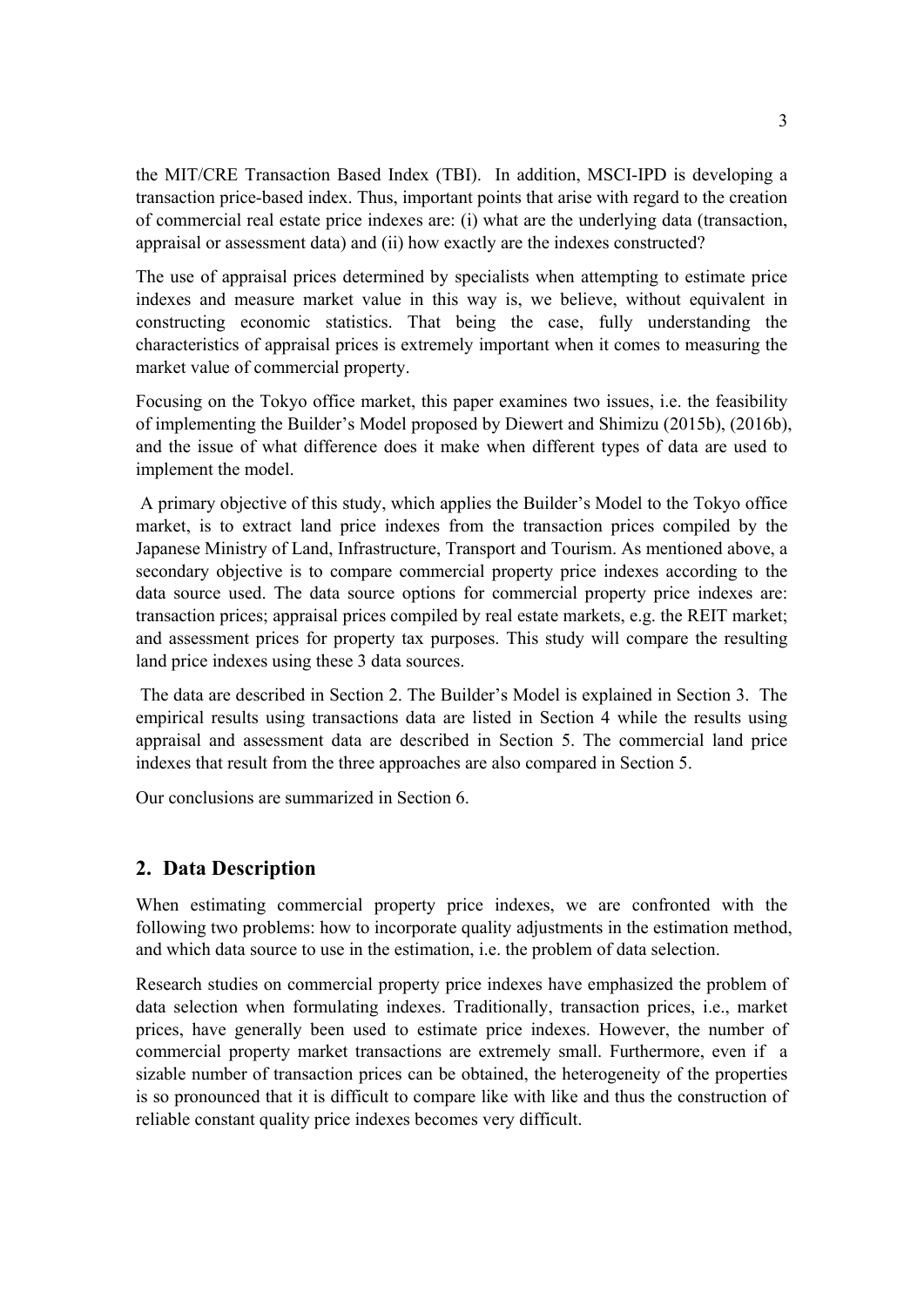the MIT/CRE Transaction Based Index (TBI). In addition, MSCI-IPD is developing a transaction price-based index. Thus, important points that arise with regard to the creation of commercial real estate price indexes are: (i) what are the underlying data (transaction, appraisal or assessment data) and (ii) how exactly are the indexes constructed?

The use of appraisal prices determined by specialists when attempting to estimate price indexes and measure market value in this way is, we believe, without equivalent in constructing economic statistics. That being the case, fully understanding the characteristics of appraisal prices is extremely important when it comes to measuring the market value of commercial property.

Focusing on the Tokyo office market, this paper examines two issues, i.e. the feasibility of implementing the Builder's Model proposed by Diewert and Shimizu (2015b), (2016b), and the issue of what difference does it make when different types of data are used to implement the model.

 A primary objective of this study, which applies the Builder's Model to the Tokyo office market, is to extract land price indexes from the transaction prices compiled by the Japanese Ministry of Land, Infrastructure, Transport and Tourism. As mentioned above, a secondary objective is to compare commercial property price indexes according to the data source used. The data source options for commercial property price indexes are: transaction prices; appraisal prices compiled by real estate markets, e.g. the REIT market; and assessment prices for property tax purposes. This study will compare the resulting land price indexes using these 3 data sources.

 The data are described in Section 2. The Builder's Model is explained in Section 3. The empirical results using transactions data are listed in Section 4 while the results using appraisal and assessment data are described in Section 5. The commercial land price indexes that result from the three approaches are also compared in Section 5.

Our conclusions are summarized in Section 6.

# **2. Data Description**

When estimating commercial property price indexes, we are confronted with the following two problems: how to incorporate quality adjustments in the estimation method, and which data source to use in the estimation, i.e. the problem of data selection.

Research studies on commercial property price indexes have emphasized the problem of data selection when formulating indexes. Traditionally, transaction prices, i.e., market prices, have generally been used to estimate price indexes. However, the number of commercial property market transactions are extremely small. Furthermore, even if a sizable number of transaction prices can be obtained, the heterogeneity of the properties is so pronounced that it is difficult to compare like with like and thus the construction of reliable constant quality price indexes becomes very difficult.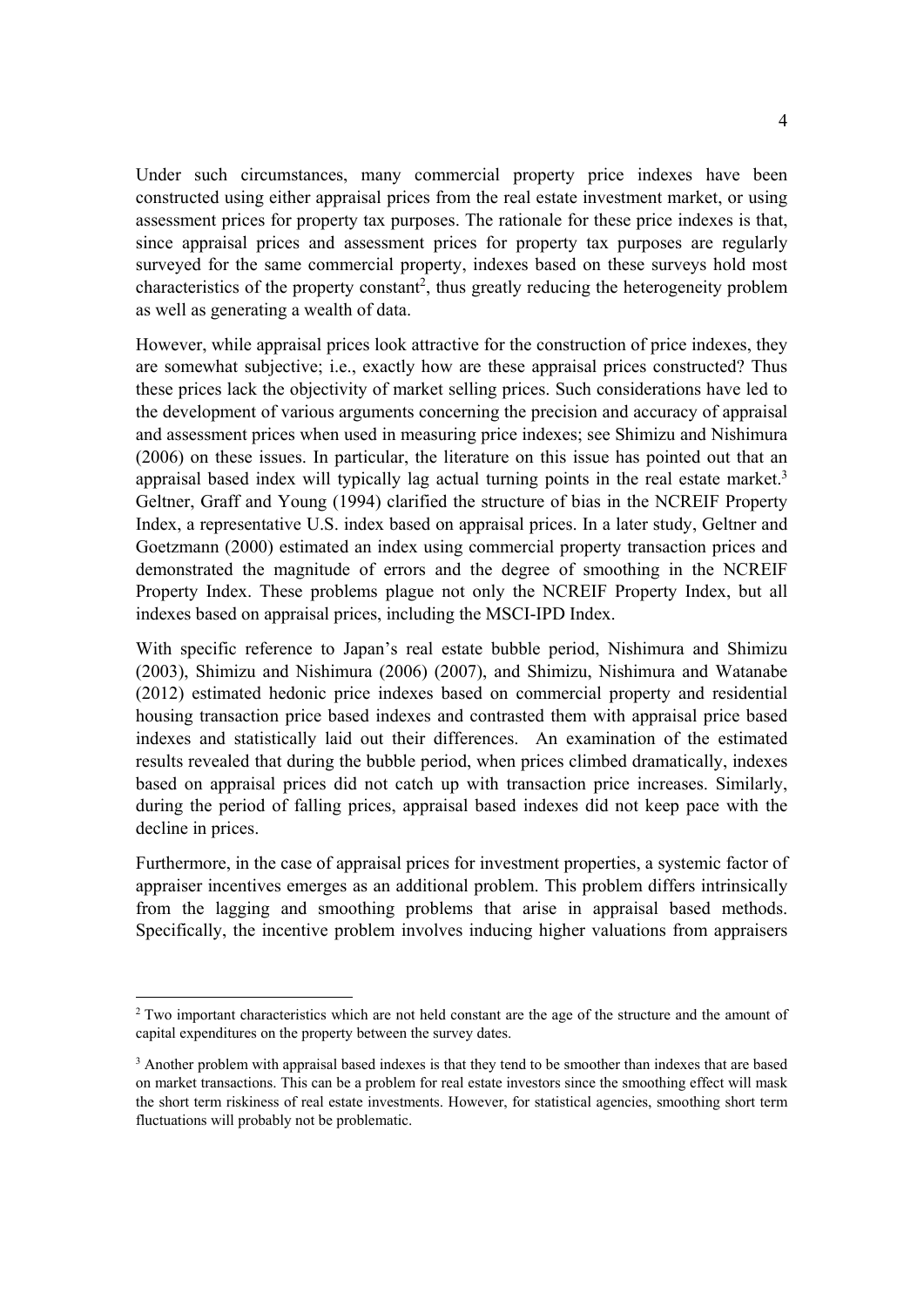Under such circumstances, many commercial property price indexes have been constructed using either appraisal prices from the real estate investment market, or using assessment prices for property tax purposes. The rationale for these price indexes is that, since appraisal prices and assessment prices for property tax purposes are regularly surveyed for the same commercial property, indexes based on these surveys hold most characteristics of the property constant<sup>2</sup>, thus greatly reducing the heterogeneity problem as well as generating a wealth of data.

However, while appraisal prices look attractive for the construction of price indexes, they are somewhat subjective; i.e., exactly how are these appraisal prices constructed? Thus these prices lack the objectivity of market selling prices. Such considerations have led to the development of various arguments concerning the precision and accuracy of appraisal and assessment prices when used in measuring price indexes; see Shimizu and Nishimura (2006) on these issues. In particular, the literature on this issue has pointed out that an appraisal based index will typically lag actual turning points in the real estate market.<sup>3</sup> Geltner, Graff and Young (1994) clarified the structure of bias in the NCREIF Property Index, a representative U.S. index based on appraisal prices. In a later study, Geltner and Goetzmann (2000) estimated an index using commercial property transaction prices and demonstrated the magnitude of errors and the degree of smoothing in the NCREIF Property Index. These problems plague not only the NCREIF Property Index, but all indexes based on appraisal prices, including the MSCI-IPD Index.

With specific reference to Japan's real estate bubble period, Nishimura and Shimizu (2003), Shimizu and Nishimura (2006) (2007), and Shimizu, Nishimura and Watanabe (2012) estimated hedonic price indexes based on commercial property and residential housing transaction price based indexes and contrasted them with appraisal price based indexes and statistically laid out their differences. An examination of the estimated results revealed that during the bubble period, when prices climbed dramatically, indexes based on appraisal prices did not catch up with transaction price increases. Similarly, during the period of falling prices, appraisal based indexes did not keep pace with the decline in prices.

Furthermore, in the case of appraisal prices for investment properties, a systemic factor of appraiser incentives emerges as an additional problem. This problem differs intrinsically from the lagging and smoothing problems that arise in appraisal based methods. Specifically, the incentive problem involves inducing higher valuations from appraisers

<sup>&</sup>lt;sup>2</sup> Two important characteristics which are not held constant are the age of the structure and the amount of capital expenditures on the property between the survey dates.

<sup>&</sup>lt;sup>3</sup> Another problem with appraisal based indexes is that they tend to be smoother than indexes that are based on market transactions. This can be a problem for real estate investors since the smoothing effect will mask the short term riskiness of real estate investments. However, for statistical agencies, smoothing short term fluctuations will probably not be problematic.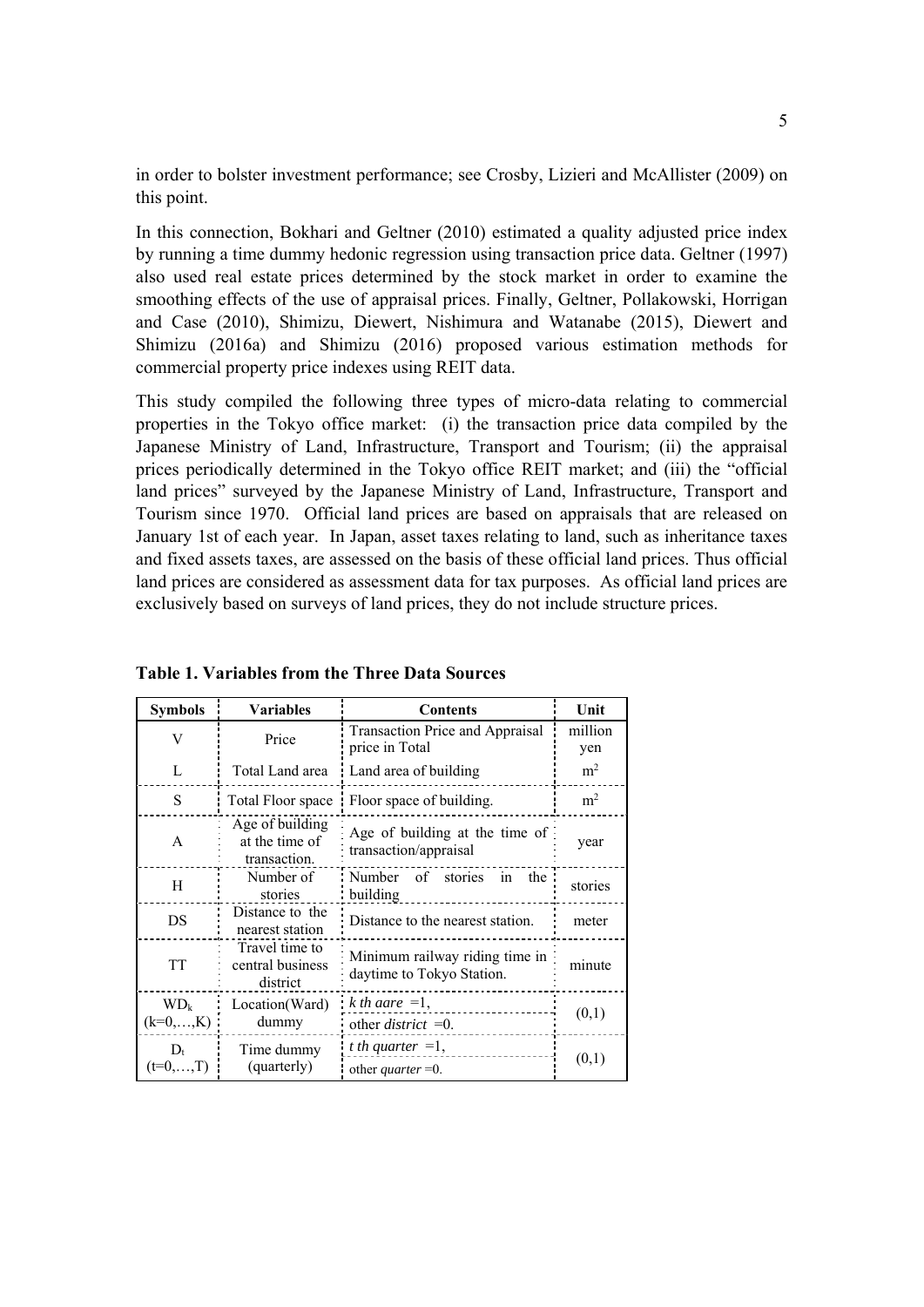in order to bolster investment performance; see Crosby, Lizieri and McAllister (2009) on this point.

In this connection, Bokhari and Geltner (2010) estimated a quality adjusted price index by running a time dummy hedonic regression using transaction price data. Geltner (1997) also used real estate prices determined by the stock market in order to examine the smoothing effects of the use of appraisal prices. Finally, Geltner, Pollakowski, Horrigan and Case (2010), Shimizu, Diewert, Nishimura and Watanabe (2015), Diewert and Shimizu (2016a) and Shimizu (2016) proposed various estimation methods for commercial property price indexes using REIT data.

This study compiled the following three types of micro-data relating to commercial properties in the Tokyo office market: (i) the transaction price data compiled by the Japanese Ministry of Land, Infrastructure, Transport and Tourism; (ii) the appraisal prices periodically determined in the Tokyo office REIT market; and (iii) the "official land prices" surveyed by the Japanese Ministry of Land, Infrastructure, Transport and Tourism since 1970. Official land prices are based on appraisals that are released on January 1st of each year. In Japan, asset taxes relating to land, such as inheritance taxes and fixed assets taxes, are assessed on the basis of these official land prices. Thus official land prices are considered as assessment data for tax purposes. As official land prices are exclusively based on surveys of land prices, they do not include structure prices.

| <b>Symbols</b>        | <b>Variables</b>                                  | <b>Contents</b>                                             | Unit           |
|-----------------------|---------------------------------------------------|-------------------------------------------------------------|----------------|
| V                     | Price                                             | Transaction Price and Appraisal<br>price in Total           | million<br>yen |
| L                     | Total Land area                                   | Land area of building                                       | m <sup>2</sup> |
| S                     | Total Floor space                                 | Floor space of building.                                    | m <sup>2</sup> |
| A                     | Age of building<br>at the time of<br>transaction. | Age of building at the time of<br>transaction/appraisal     | year           |
| H                     | Number of<br>stories                              | Number of stories in<br>the<br>building                     | stories        |
| DS                    | Distance to the<br>nearest station                | Distance to the nearest station.                            | meter          |
| <b>TT</b>             | Travel time to<br>central business<br>district    | Minimum railway riding time in<br>daytime to Tokyo Station. | minute         |
| $WD_k$                | Location(Ward)                                    | k th aare $=1$ ,                                            |                |
| $(k=0,,K)$            | dummy                                             | other <i>district</i> = 0.                                  | (0,1)          |
| $D_{t}$<br>$(t=0,,T)$ | Time dummy<br>(quarterly)                         | t th quarter $=1$ ,<br>other <i>quarter</i> = 0.            | (0,1)          |

**Table 1. Variables from the Three Data Sources**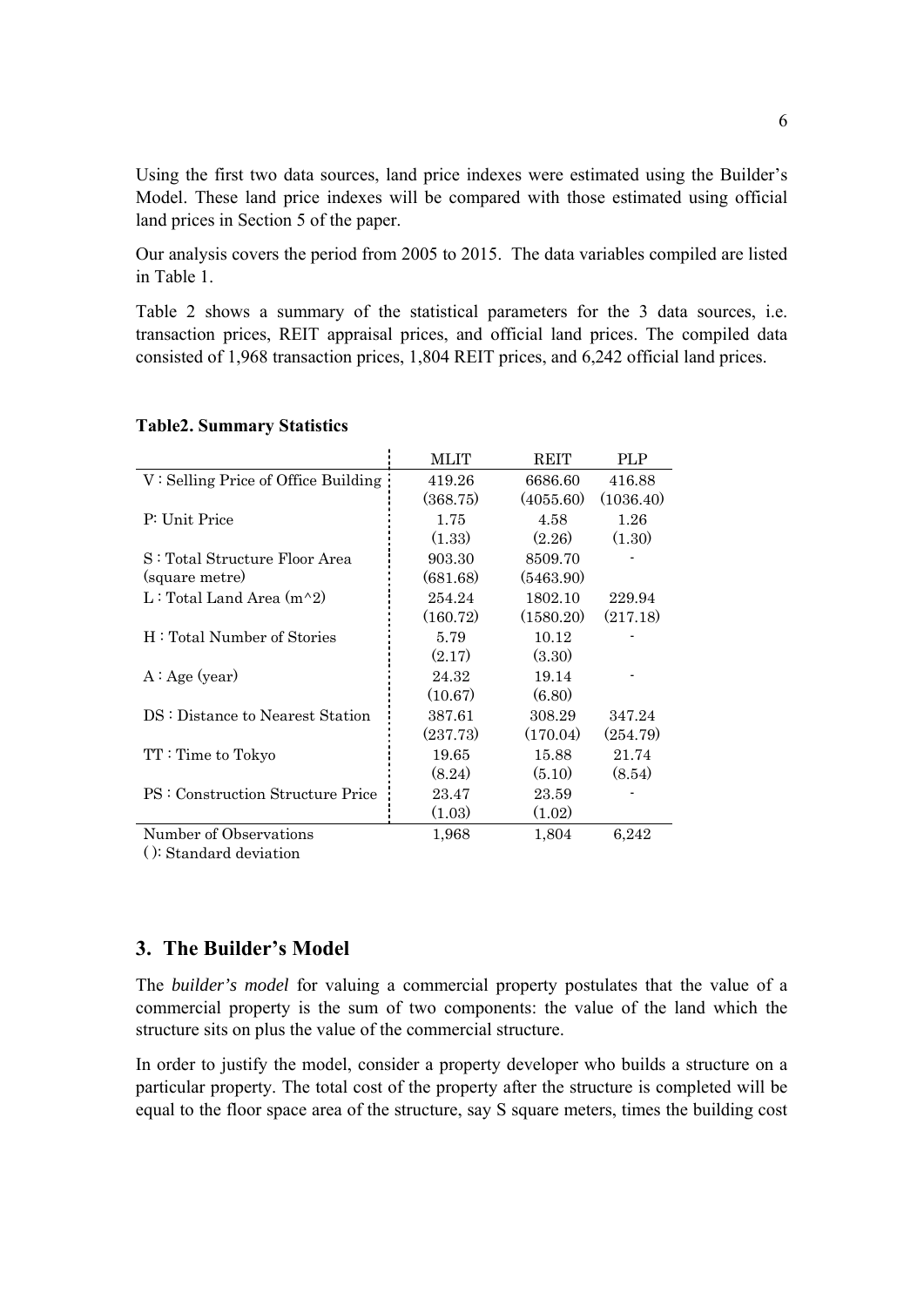Using the first two data sources, land price indexes were estimated using the Builder's Model. These land price indexes will be compared with those estimated using official land prices in Section 5 of the paper.

Our analysis covers the period from 2005 to 2015. The data variables compiled are listed in Table 1.

Table 2 shows a summary of the statistical parameters for the 3 data sources, i.e. transaction prices, REIT appraisal prices, and official land prices. The compiled data consisted of 1,968 transaction prices, 1,804 REIT prices, and 6,242 official land prices.

|                                       | MLIT     | <b>REIT</b> | PLP       |
|---------------------------------------|----------|-------------|-----------|
| $V:$ Selling Price of Office Building | 419.26   | 6686.60     | 416.88    |
|                                       | (368.75) | (4055.60)   | (1036.40) |
| P: Unit Price                         | 1.75     | 4.58        | 1.26      |
|                                       | (1.33)   | (2.26)      | (1.30)    |
| S: Total Structure Floor Area         | 903.30   | 8509.70     |           |
| (square metre)                        | (681.68) | (5463.90)   |           |
| L: Total Land Area $(m^2)$            | 254.24   | 1802.10     | 229.94    |
|                                       | (160.72) | (1580.20)   | (217.18)  |
| H: Total Number of Stories            | 5.79     | 10.12       |           |
|                                       | (2.17)   | (3.30)      |           |
| A: Age (year)                         | 24.32    | 19.14       |           |
|                                       | (10.67)  | (6.80)      |           |
| DS: Distance to Nearest Station       | 387.61   | 308.29      | 347.24    |
|                                       | (237.73) | (170.04)    | (254.79)  |
| TT: Time to Tokyo                     | 19.65    | 15.88       | 21.74     |
|                                       | (8.24)   | (5.10)      | (8.54)    |
| PS : Construction Structure Price     | 23.47    | 23.59       |           |
|                                       | (1.03)   | (1.02)      |           |
| Number of Observations                | 1,968    | 1,804       | 6,242     |

#### **Table2. Summary Statistics**

( ): Standard deviation

# **3. The Builder's Model**

The *builder's model* for valuing a commercial property postulates that the value of a commercial property is the sum of two components: the value of the land which the structure sits on plus the value of the commercial structure.

In order to justify the model, consider a property developer who builds a structure on a particular property. The total cost of the property after the structure is completed will be equal to the floor space area of the structure, say S square meters, times the building cost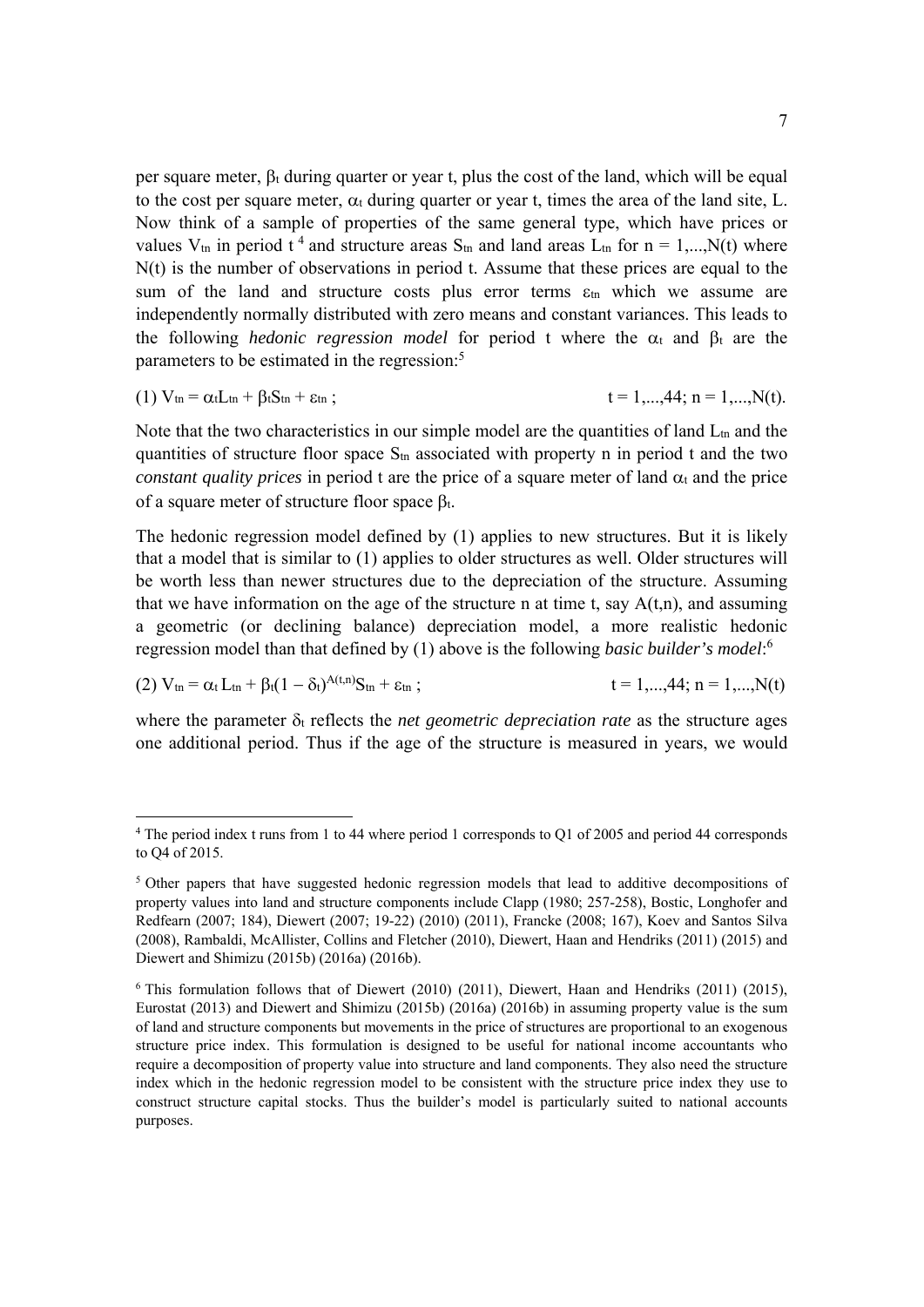per square meter,  $\beta_t$  during quarter or year t, plus the cost of the land, which will be equal to the cost per square meter,  $\alpha_t$  during quarter or year t, times the area of the land site, L. Now think of a sample of properties of the same general type, which have prices or values  $V_{tn}$  in period t<sup>4</sup> and structure areas  $S_{tn}$  and land areas  $L_{tn}$  for  $n = 1,...,N(t)$  where N(t) is the number of observations in period t. Assume that these prices are equal to the sum of the land and structure costs plus error terms  $\varepsilon_{\text{tn}}$  which we assume are independently normally distributed with zero means and constant variances. This leads to the following *hedonic regression model* for period t where the  $\alpha_t$  and  $\beta_t$  are the parameters to be estimated in the regression:<sup>5</sup>

(1)  $V_{tn} = \alpha_t L_{tn} + \beta_t S_{tn} + \varepsilon_{tn}$ ;  $t = 1,...,44; n = 1,...,N(t).$ 

Note that the two characteristics in our simple model are the quantities of land  $L_{tn}$  and the quantities of structure floor space  $S_{tn}$  associated with property n in period t and the two *constant quality prices* in period t are the price of a square meter of land  $\alpha_t$  and the price of a square meter of structure floor space  $\beta_t$ .

The hedonic regression model defined by (1) applies to new structures. But it is likely that a model that is similar to (1) applies to older structures as well. Older structures will be worth less than newer structures due to the depreciation of the structure. Assuming that we have information on the age of the structure n at time t, say  $A(t,n)$ , and assuming a geometric (or declining balance) depreciation model, a more realistic hedonic regression model than that defined by (1) above is the following *basic builder's model*: 6

(2)  $V_{tn} = \alpha_t L_{tn} + \beta_t(1 - \delta_t)^{A(t,n)}S_{tn} + \varepsilon_{tn}$ ;  $t = 1, \ldots, 44; n = 1, \ldots, N(t)$ 

where the parameter  $\delta_t$  reflects the *net geometric depreciation rate* as the structure ages one additional period. Thus if the age of the structure is measured in years, we would

<sup>4</sup> The period index t runs from 1 to 44 where period 1 corresponds to Q1 of 2005 and period 44 corresponds to Q4 of 2015.

<sup>&</sup>lt;sup>5</sup> Other papers that have suggested hedonic regression models that lead to additive decompositions of property values into land and structure components include Clapp (1980; 257-258), Bostic, Longhofer and Redfearn (2007; 184), Diewert (2007; 19-22) (2010) (2011), Francke (2008; 167), Koev and Santos Silva (2008), Rambaldi, McAllister, Collins and Fletcher (2010), Diewert, Haan and Hendriks (2011) (2015) and Diewert and Shimizu (2015b) (2016a) (2016b).

 $6$  This formulation follows that of Diewert (2010) (2011), Diewert, Haan and Hendriks (2011) (2015), Eurostat (2013) and Diewert and Shimizu (2015b) (2016a) (2016b) in assuming property value is the sum of land and structure components but movements in the price of structures are proportional to an exogenous structure price index. This formulation is designed to be useful for national income accountants who require a decomposition of property value into structure and land components. They also need the structure index which in the hedonic regression model to be consistent with the structure price index they use to construct structure capital stocks. Thus the builder's model is particularly suited to national accounts purposes.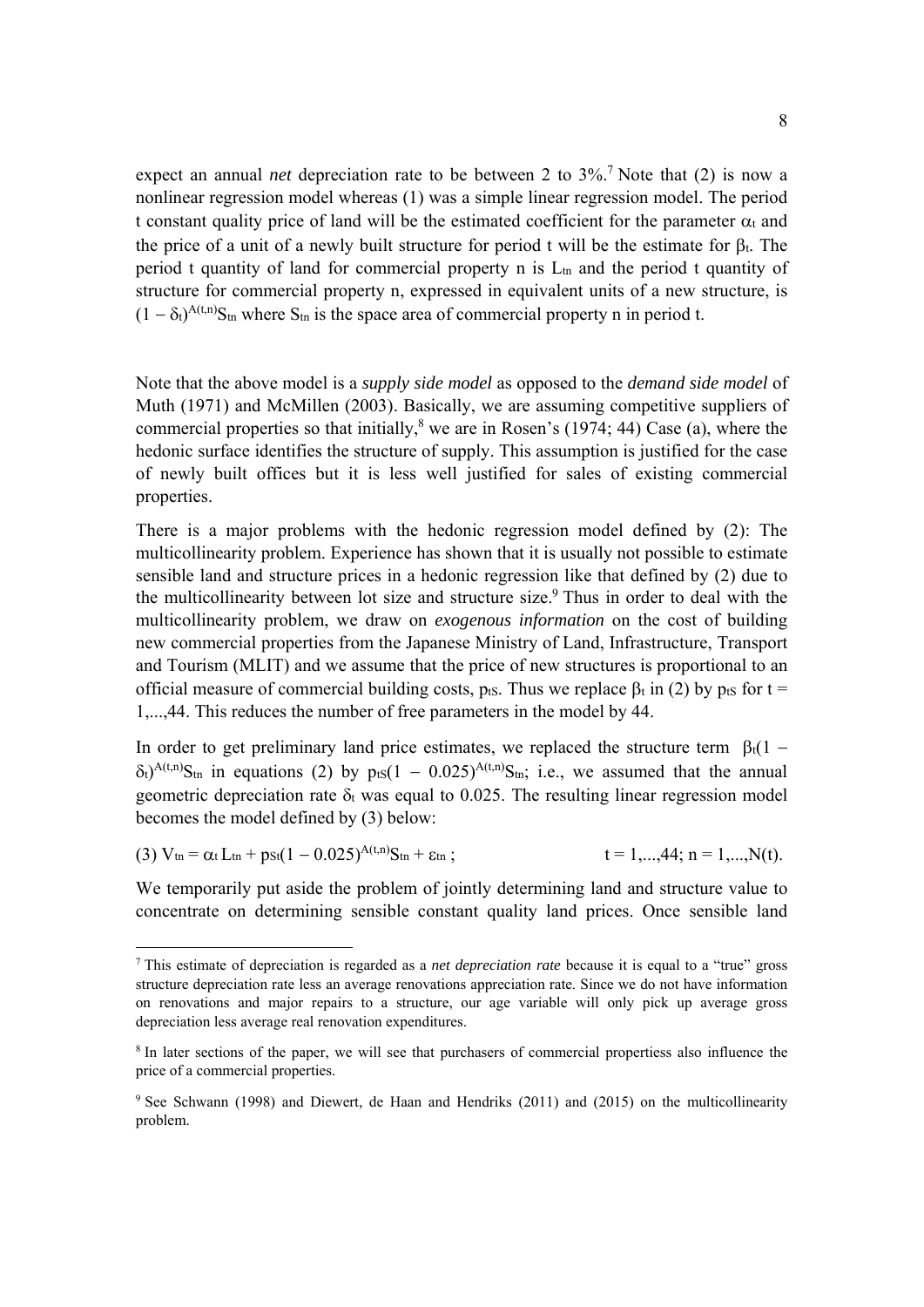expect an annual *net* depreciation rate to be between 2 to 3%.<sup>7</sup> Note that (2) is now a nonlinear regression model whereas (1) was a simple linear regression model. The period t constant quality price of land will be the estimated coefficient for the parameter  $\alpha_t$  and the price of a unit of a newly built structure for period t will be the estimate for  $\beta_t$ . The period t quantity of land for commercial property n is  $L_{tn}$  and the period t quantity of structure for commercial property n, expressed in equivalent units of a new structure, is  $(1 - \delta_t)^{A(t,n)} S_{tn}$  where  $S_{tn}$  is the space area of commercial property n in period t.

Note that the above model is a *supply side model* as opposed to the *demand side model* of Muth (1971) and McMillen (2003). Basically, we are assuming competitive suppliers of commercial properties so that initially,  $8$  we are in Rosen's (1974; 44) Case (a), where the hedonic surface identifies the structure of supply. This assumption is justified for the case of newly built offices but it is less well justified for sales of existing commercial properties.

There is a major problems with the hedonic regression model defined by (2): The multicollinearity problem. Experience has shown that it is usually not possible to estimate sensible land and structure prices in a hedonic regression like that defined by (2) due to the multicollinearity between lot size and structure size.<sup>9</sup> Thus in order to deal with the multicollinearity problem, we draw on *exogenous information* on the cost of building new commercial properties from the Japanese Ministry of Land, Infrastructure, Transport and Tourism (MLIT) and we assume that the price of new structures is proportional to an official measure of commercial building costs,  $p_{tS}$ . Thus we replace  $\beta_t$  in (2) by  $p_{tS}$  for t = 1,...,44. This reduces the number of free parameters in the model by 44.

In order to get preliminary land price estimates, we replaced the structure term  $\beta_1(1 \delta t$ <sup>A(t,n)</sup>S<sub>tn</sub> in equations (2) by pts(1 – 0.025)<sup>A(t,n)</sup>S<sub>tn</sub>; i.e., we assumed that the annual geometric depreciation rate  $\delta_t$  was equal to 0.025. The resulting linear regression model becomes the model defined by (3) below:

(3) 
$$
V_{tn} = \alpha_t L_{tn} + p_{St}(1 - 0.025)^{A(t,n)}S_{tn} + \varepsilon_{tn}
$$
;  $t = 1,...,44; n = 1,...,N(t)$ .

We temporarily put aside the problem of jointly determining land and structure value to concentrate on determining sensible constant quality land prices. Once sensible land

<sup>7</sup> This estimate of depreciation is regarded as a *net depreciation rate* because it is equal to a "true" gross structure depreciation rate less an average renovations appreciation rate. Since we do not have information on renovations and major repairs to a structure, our age variable will only pick up average gross depreciation less average real renovation expenditures.

<sup>&</sup>lt;sup>8</sup> In later sections of the paper, we will see that purchasers of commercial propertiess also influence the price of a commercial properties.

<sup>9</sup> See Schwann (1998) and Diewert, de Haan and Hendriks (2011) and (2015) on the multicollinearity problem.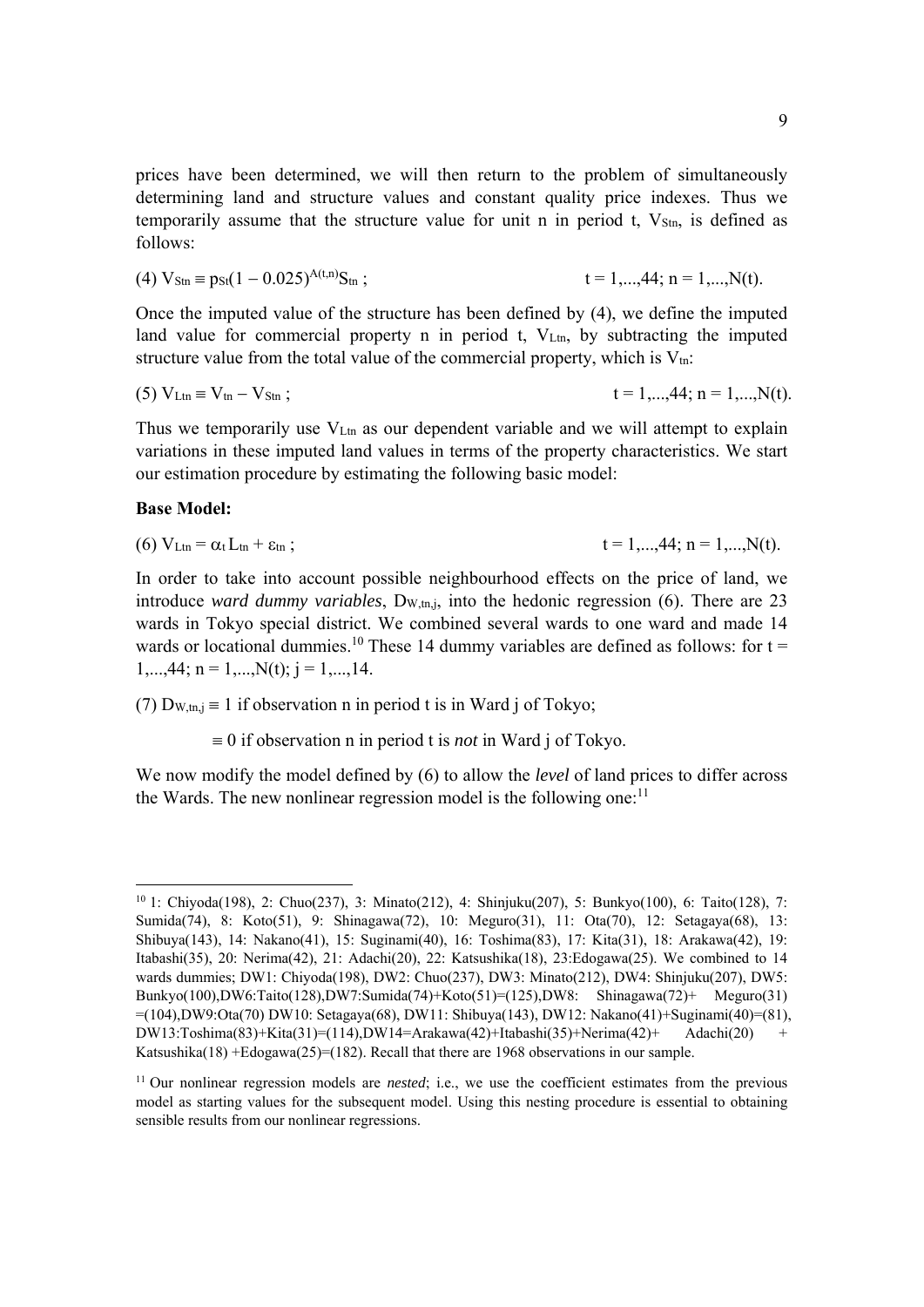prices have been determined, we will then return to the problem of simultaneously determining land and structure values and constant quality price indexes. Thus we temporarily assume that the structure value for unit n in period t,  $V_{\text{Stn}}$ , is defined as follows:

(4) 
$$
V_{\text{Stn}} \equiv p_{\text{St}}(1 - 0.025)^{A(t,n)} S_{\text{tn}}
$$
;  $t = 1,...,44; n = 1,...,N(t)$ .

Once the imputed value of the structure has been defined by (4), we define the imputed land value for commercial property n in period t.  $V_{\text{Lm}}$ , by subtracting the imputed structure value from the total value of the commercial property, which is  $V_{\text{tn}}$ :

(5) 
$$
V_{\text{Ltn}} \equiv V_{\text{tn}} - V_{\text{Stn}}
$$
;  $t = 1,...,44; n = 1,...,N(t)$ .

Thus we temporarily use V<sub>Ltn</sub> as our dependent variable and we will attempt to explain variations in these imputed land values in terms of the property characteristics. We start our estimation procedure by estimating the following basic model:

#### **Base Model:**

(6) 
$$
V_{Ltn} = \alpha_t L_{tn} + \varepsilon_{tn}
$$
;  $t = 1,...,44; n = 1,...,N(t)$ .

In order to take into account possible neighbourhood effects on the price of land, we introduce *ward dummy variables*, D<sub>W,tn,j</sub>, into the hedonic regression (6). There are 23 wards in Tokyo special district. We combined several wards to one ward and made 14 wards or locational dummies.<sup>10</sup> These 14 dummy variables are defined as follows: for  $t =$  $1, \ldots, 44; n = 1, \ldots, N(t); j = 1, \ldots, 14.$ 

(7)  $D_{W,tn,i} \equiv 1$  if observation n in period t is in Ward j of Tokyo;

 $\equiv 0$  if observation n in period t is *not* in Ward i of Tokyo.

We now modify the model defined by (6) to allow the *level* of land prices to differ across the Wards. The new nonlinear regression model is the following one: $11$ 

<sup>10 1:</sup> Chiyoda(198), 2: Chuo(237), 3: Minato(212), 4: Shinjuku(207), 5: Bunkyo(100), 6: Taito(128), 7: Sumida(74), 8: Koto(51), 9: Shinagawa(72), 10: Meguro(31), 11: Ota(70), 12: Setagaya(68), 13: Shibuya(143), 14: Nakano(41), 15: Suginami(40), 16: Toshima(83), 17: Kita(31), 18: Arakawa(42), 19: Itabashi(35), 20: Nerima(42), 21: Adachi(20), 22: Katsushika(18), 23:Edogawa(25). We combined to 14 wards dummies; DW1: Chiyoda(198), DW2: Chuo(237), DW3: Minato(212), DW4: Shinjuku(207), DW5: Bunkyo(100),DW6:Taito(128),DW7:Sumida(74)+Koto(51)=(125),DW8: Shinagawa(72)+ Meguro(31) =(104),DW9:Ota(70) DW10: Setagaya(68), DW11: Shibuya(143), DW12: Nakano(41)+Suginami(40)=(81),  $DW13:Toshima(83)+Kita(31)=(114).DW14=Arakawa(42)+Itabashi(35)+Nerima(42)+$  Adachi(20) Katsushika(18) +Edogawa(25)=(182). Recall that there are 1968 observations in our sample.

<sup>&</sup>lt;sup>11</sup> Our nonlinear regression models are *nested*; i.e., we use the coefficient estimates from the previous model as starting values for the subsequent model. Using this nesting procedure is essential to obtaining sensible results from our nonlinear regressions.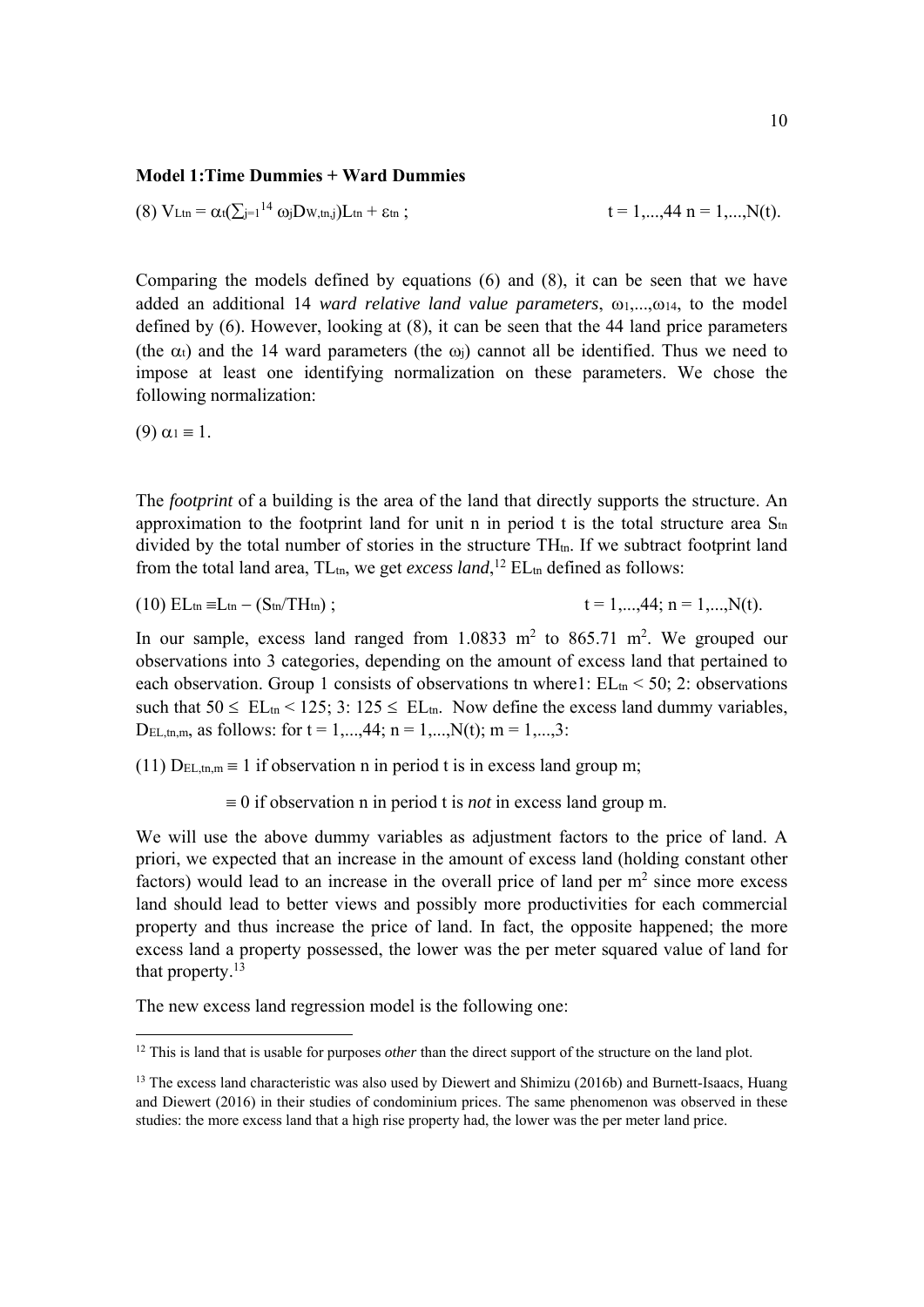#### **Model 1:Time Dummies + Ward Dummies**

(8) 
$$
V_{Ltn} = \alpha_t (\sum_{j=1}^{14} \omega_j D_{W,tn,j}) L_{tn} + \epsilon_{tn}
$$
;  $t = 1,...,44$  n = 1,...,N(t).

Comparing the models defined by equations (6) and (8), it can be seen that we have added an additional 14 *ward relative land value parameters*,  $\omega_1$ ,..., $\omega_1$ 4, to the model defined by (6). However, looking at (8), it can be seen that the 44 land price parameters (the  $\alpha_t$ ) and the 14 ward parameters (the  $\omega_i$ ) cannot all be identified. Thus we need to impose at least one identifying normalization on these parameters. We chose the following normalization:

(9)  $\alpha_1 \equiv 1$ .

l

The *footprint* of a building is the area of the land that directly supports the structure. An approximation to the footprint land for unit n in period t is the total structure area  $S<sub>tn</sub>$ divided by the total number of stories in the structure  $TH_{tn}$ . If we subtract footprint land from the total land area,  $TL_m$ , we get *excess land*,<sup>12</sup>  $EL_m$  defined as follows:

(10)  $EL_{tn} = L_{tn} - (S_{tn}/TH_{tn})$ ;  $t = 1,...,44; n = 1,...,N(t).$ 

In our sample, excess land ranged from  $1.0833 \text{ m}^2$  to  $865.71 \text{ m}^2$ . We grouped our observations into 3 categories, depending on the amount of excess land that pertained to each observation. Group 1 consists of observations tn where 1:  $EL<sub>tn</sub> < 50$ ; 2: observations such that  $50 \leq EL_{\text{tn}} < 125$ ; 3:  $125 \leq EL_{\text{tn}}$ . Now define the excess land dummy variables, D<sub>EL,tn,m</sub>, as follows: for  $t = 1,...,44$ ;  $n = 1,...,N(t)$ ;  $m = 1,...,3$ :

(11)  $D_{EL,tn,m} \equiv 1$  if observation n in period t is in excess land group m;

 $\equiv 0$  if observation n in period t is *not* in excess land group m.

We will use the above dummy variables as adjustment factors to the price of land. A priori, we expected that an increase in the amount of excess land (holding constant other factors) would lead to an increase in the overall price of land per  $m<sup>2</sup>$  since more excess land should lead to better views and possibly more productivities for each commercial property and thus increase the price of land. In fact, the opposite happened; the more excess land a property possessed, the lower was the per meter squared value of land for that property.<sup>13</sup>

The new excess land regression model is the following one:

<sup>&</sup>lt;sup>12</sup> This is land that is usable for purposes *other* than the direct support of the structure on the land plot.

<sup>&</sup>lt;sup>13</sup> The excess land characteristic was also used by Diewert and Shimizu (2016b) and Burnett-Isaacs, Huang and Diewert (2016) in their studies of condominium prices. The same phenomenon was observed in these studies: the more excess land that a high rise property had, the lower was the per meter land price.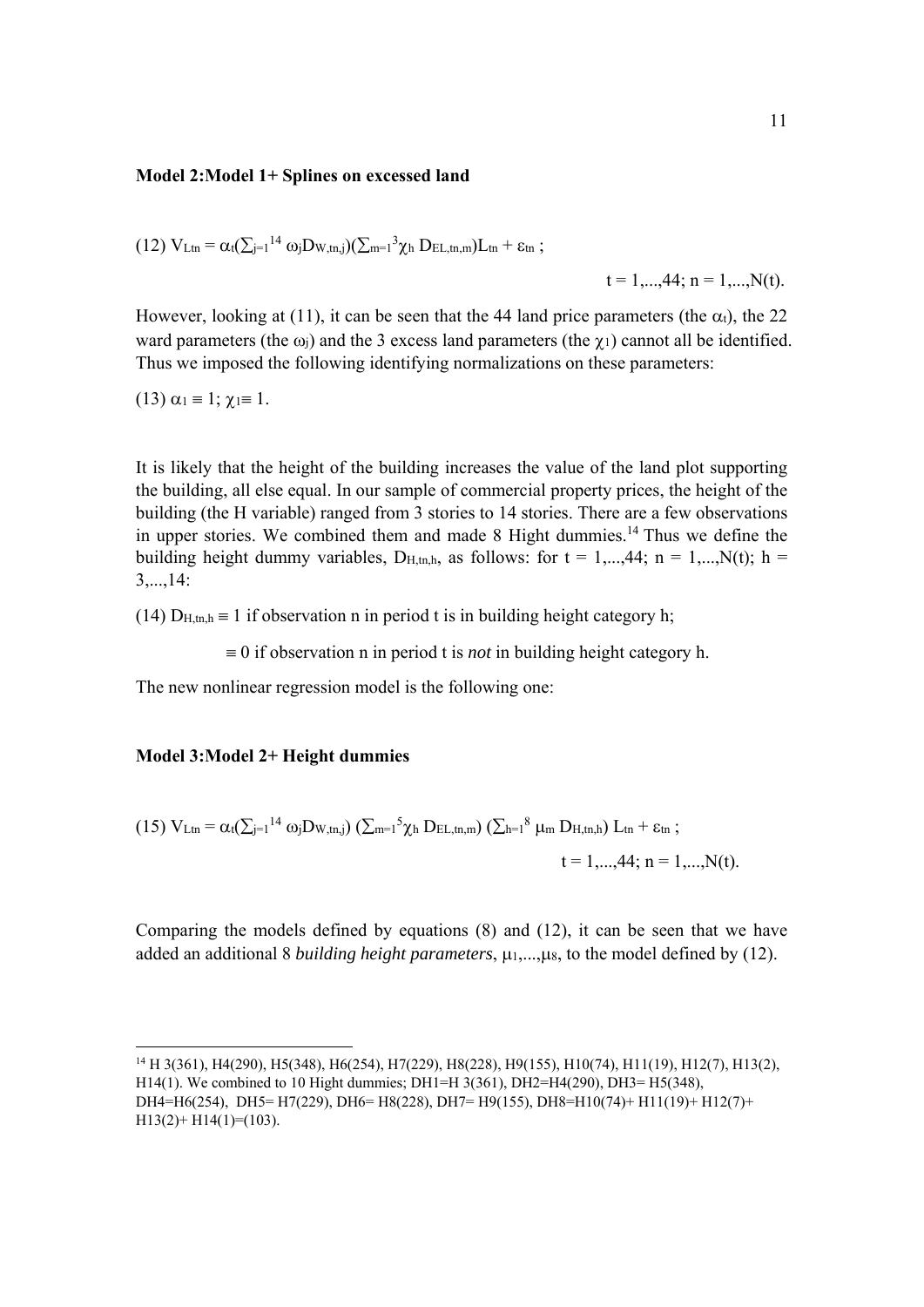#### **Model 2:Model 1+ Splines on excessed land**

$$
(12)\ V_{Ltn}=\alpha_t(\textstyle\sum_{j=1}^{14}\omega_jD_{W,\text{tn},j})(\textstyle\sum_{m=1}^3\chi_h\ D_{EL,\text{tn},m})L_{tn}+\epsilon_{tn}\ ;
$$

 $t = 1,...,44; n = 1,...,N(t).$ 

However, looking at (11), it can be seen that the 44 land price parameters (the  $\alpha_t$ ), the 22 ward parameters (the  $\omega_i$ ) and the 3 excess land parameters (the  $\gamma_1$ ) cannot all be identified. Thus we imposed the following identifying normalizations on these parameters:

(13)  $\alpha_1 = 1$ ;  $\chi_1 = 1$ .

It is likely that the height of the building increases the value of the land plot supporting the building, all else equal. In our sample of commercial property prices, the height of the building (the H variable) ranged from 3 stories to 14 stories. There are a few observations in upper stories. We combined them and made  $8$  Hight dummies.<sup>14</sup> Thus we define the building height dummy variables, D<sub>H,tn,h</sub>, as follows: for  $t = 1,...,44$ ;  $n = 1,...,N(t)$ ;  $h =$ 3,...,14:

(14)  $D_{H,tn,h} \equiv 1$  if observation n in period t is in building height category h;

 $\equiv 0$  if observation n in period t is *not* in building height category h.

The new nonlinear regression model is the following one:

#### **Model 3:Model 2+ Height dummies**

(15) 
$$
V_{Ltn} = \alpha_t (\sum_{j=1}^{14} \omega_j D_{W,tn,j}) (\sum_{m=1}^{5} \chi_h D_{EL,tn,m}) (\sum_{h=1}^{8} \mu_m D_{H,tn,h}) L_{tn} + \epsilon_m ;
$$
  
\n $t = 1,...,44; n = 1,...,N(t).$ 

Comparing the models defined by equations (8) and (12), it can be seen that we have added an additional 8 *building height parameters*,  $\mu_1, \ldots, \mu_8$ , to the model defined by (12).

<sup>14</sup> H 3(361), H4(290), H5(348), H6(254), H7(229), H8(228), H9(155), H10(74), H11(19), H12(7), H13(2), H14(1). We combined to 10 Hight dummies; DH1=H 3(361), DH2=H4(290), DH3= H5(348), DH4=H6(254), DH5= H7(229), DH6= H8(228), DH7= H9(155), DH8=H10(74)+ H11(19)+ H12(7)+  $H13(2)$ +  $H14(1)$ =(103).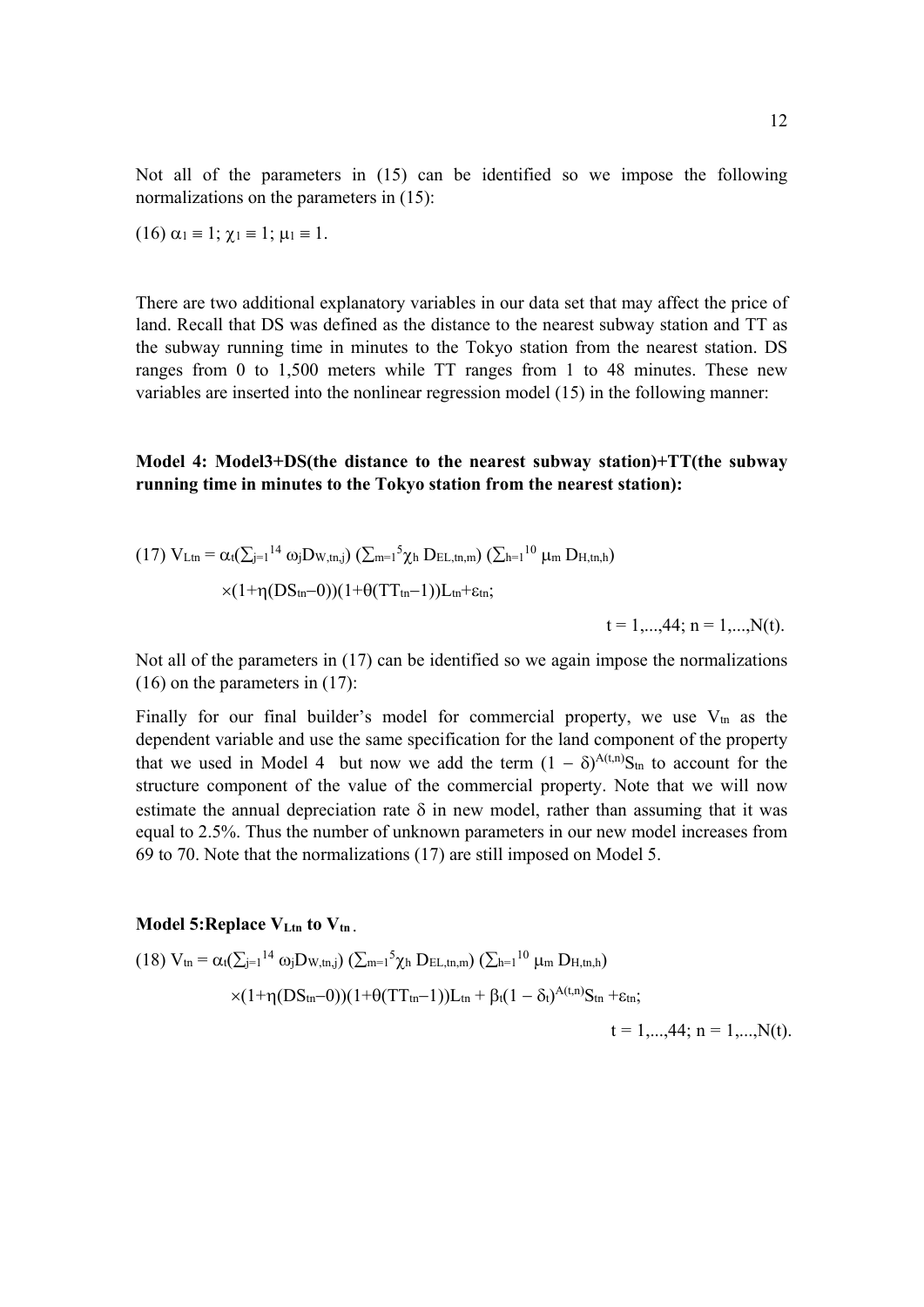Not all of the parameters in (15) can be identified so we impose the following normalizations on the parameters in (15):

$$
(16) \alpha_1 \equiv 1; \chi_1 \equiv 1; \mu_1 \equiv 1.
$$

There are two additional explanatory variables in our data set that may affect the price of land. Recall that DS was defined as the distance to the nearest subway station and TT as the subway running time in minutes to the Tokyo station from the nearest station. DS ranges from 0 to 1,500 meters while TT ranges from 1 to 48 minutes. These new variables are inserted into the nonlinear regression model (15) in the following manner:

### **Model 4: Model3+DS(the distance to the nearest subway station)+TT(the subway running time in minutes to the Tokyo station from the nearest station):**

(17) 
$$
V_{Ltn} = \alpha_t (\sum_{j=1}^{l} 14 \omega_j D_{W,tn,j}) (\sum_{m=1}^{5} \chi_h D_{EL,tn,m}) (\sum_{h=1}^{l} 10 \mu_m D_{H,tn,h})
$$

$$
\times (1 + \eta (DS_{tn} - 0)) (1 + \theta (TT_{tn} - 1)) L_{tn} + \epsilon_{tn};
$$

$$
t = 1,...,44; n = 1,...,N(t).
$$

Not all of the parameters in (17) can be identified so we again impose the normalizations (16) on the parameters in (17):

Finally for our final builder's model for commercial property, we use  $V_{tn}$  as the dependent variable and use the same specification for the land component of the property that we used in Model 4 but now we add the term  $(1 - \delta)^{A(t,n)}S_{tn}$  to account for the structure component of the value of the commercial property. Note that we will now estimate the annual depreciation rate  $\delta$  in new model, rather than assuming that it was equal to 2.5%. Thus the number of unknown parameters in our new model increases from 69 to 70. Note that the normalizations (17) are still imposed on Model 5.

#### Model 5: Replace V<sub>Ltn</sub> to V<sub>tn</sub>.

(18) 
$$
V_{tn} = \alpha_t (\sum_{j=1}^{14} \omega_j D_{W,tn,j}) (\sum_{m=1}^{5} \chi_h D_{EL,tn,m}) (\sum_{h=1}^{10} \mu_m D_{H,tn,h})
$$
  
×(1+ $\eta (DS_{tn}-0))(1+\theta (TT_{tn}-1))L_{tn} + \beta_t (1-\delta_t)^{A(t,n)}S_{tn} + \epsilon_{tn};$   
t = 1,...,44; n = 1,...,N(t).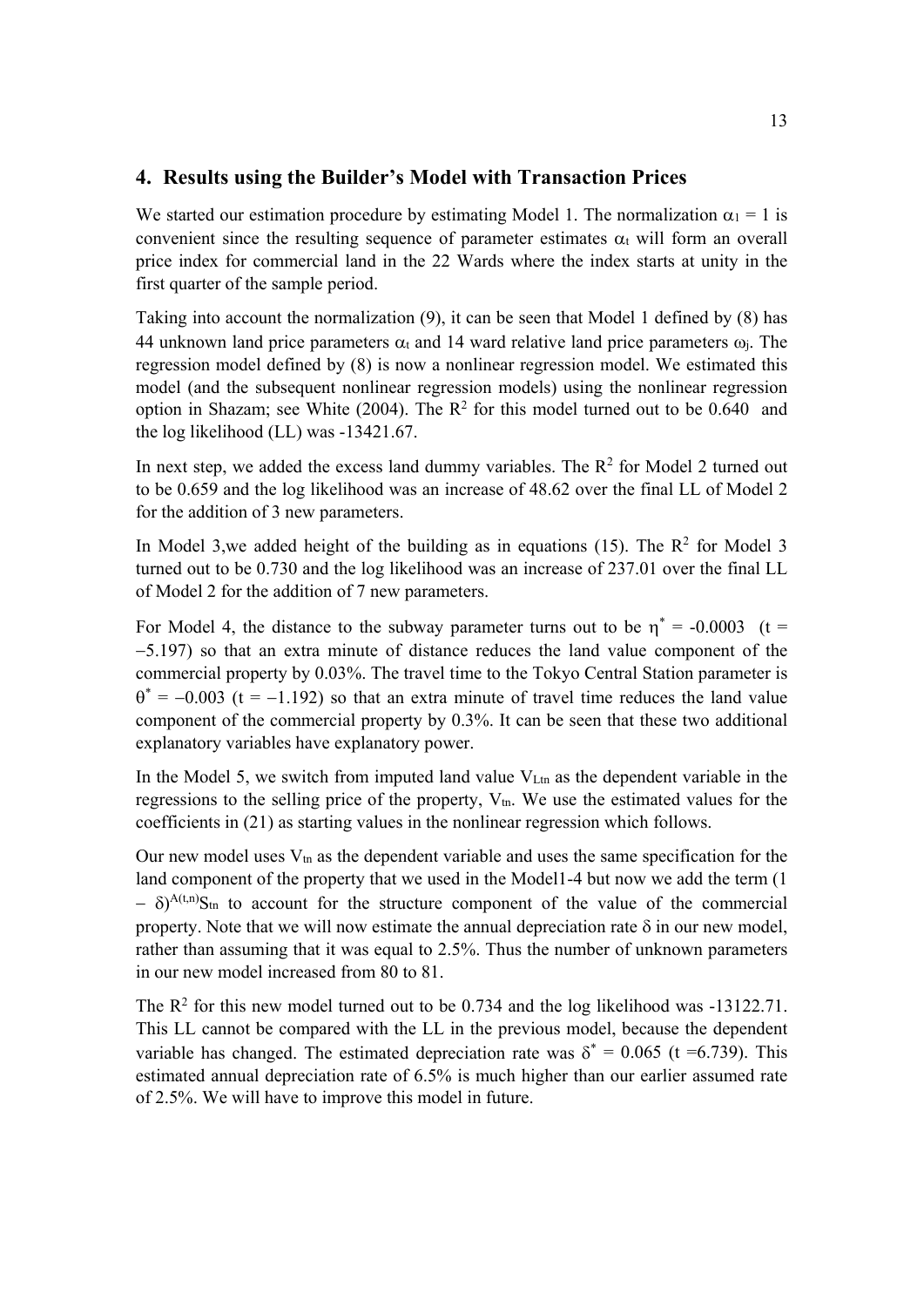## **4. Results using the Builder's Model with Transaction Prices**

We started our estimation procedure by estimating Model 1. The normalization  $\alpha_1 = 1$  is convenient since the resulting sequence of parameter estimates  $\alpha_t$  will form an overall price index for commercial land in the 22 Wards where the index starts at unity in the first quarter of the sample period.

Taking into account the normalization (9), it can be seen that Model 1 defined by (8) has 44 unknown land price parameters  $\alpha_t$  and 14 ward relative land price parameters  $\omega_i$ . The regression model defined by (8) is now a nonlinear regression model. We estimated this model (and the subsequent nonlinear regression models) using the nonlinear regression option in Shazam; see White (2004). The  $R^2$  for this model turned out to be 0.640 and the log likelihood (LL) was -13421.67.

In next step, we added the excess land dummy variables. The  $R^2$  for Model 2 turned out to be 0.659 and the log likelihood was an increase of 48.62 over the final LL of Model 2 for the addition of 3 new parameters.

In Model 3, we added height of the building as in equations (15). The  $\mathbb{R}^2$  for Model 3 turned out to be 0.730 and the log likelihood was an increase of 237.01 over the final LL of Model 2 for the addition of 7 new parameters.

For Model 4, the distance to the subway parameter turns out to be  $\eta^* = -0.0003$  (t = 5.197) so that an extra minute of distance reduces the land value component of the commercial property by 0.03%. The travel time to the Tokyo Central Station parameter is  $\theta^* = -0.003$  (t = -1.192) so that an extra minute of travel time reduces the land value component of the commercial property by 0.3%. It can be seen that these two additional explanatory variables have explanatory power.

In the Model 5, we switch from imputed land value  $V_{\text{Ltn}}$  as the dependent variable in the regressions to the selling price of the property,  $V_{tn}$ . We use the estimated values for the coefficients in (21) as starting values in the nonlinear regression which follows.

Our new model uses  $V_{\text{tn}}$  as the dependent variable and uses the same specification for the land component of the property that we used in the Model1-4 but now we add the term  $(1)$  $\delta$ )<sup>A(t,n)</sup>S<sub>tn</sub> to account for the structure component of the value of the commercial property. Note that we will now estimate the annual depreciation rate  $\delta$  in our new model, rather than assuming that it was equal to 2.5%. Thus the number of unknown parameters in our new model increased from 80 to 81.

The  $\mathbb{R}^2$  for this new model turned out to be 0.734 and the log likelihood was -13122.71. This LL cannot be compared with the LL in the previous model, because the dependent variable has changed. The estimated depreciation rate was  $\delta^* = 0.065$  (t =6.739). This estimated annual depreciation rate of 6.5% is much higher than our earlier assumed rate of 2.5%. We will have to improve this model in future.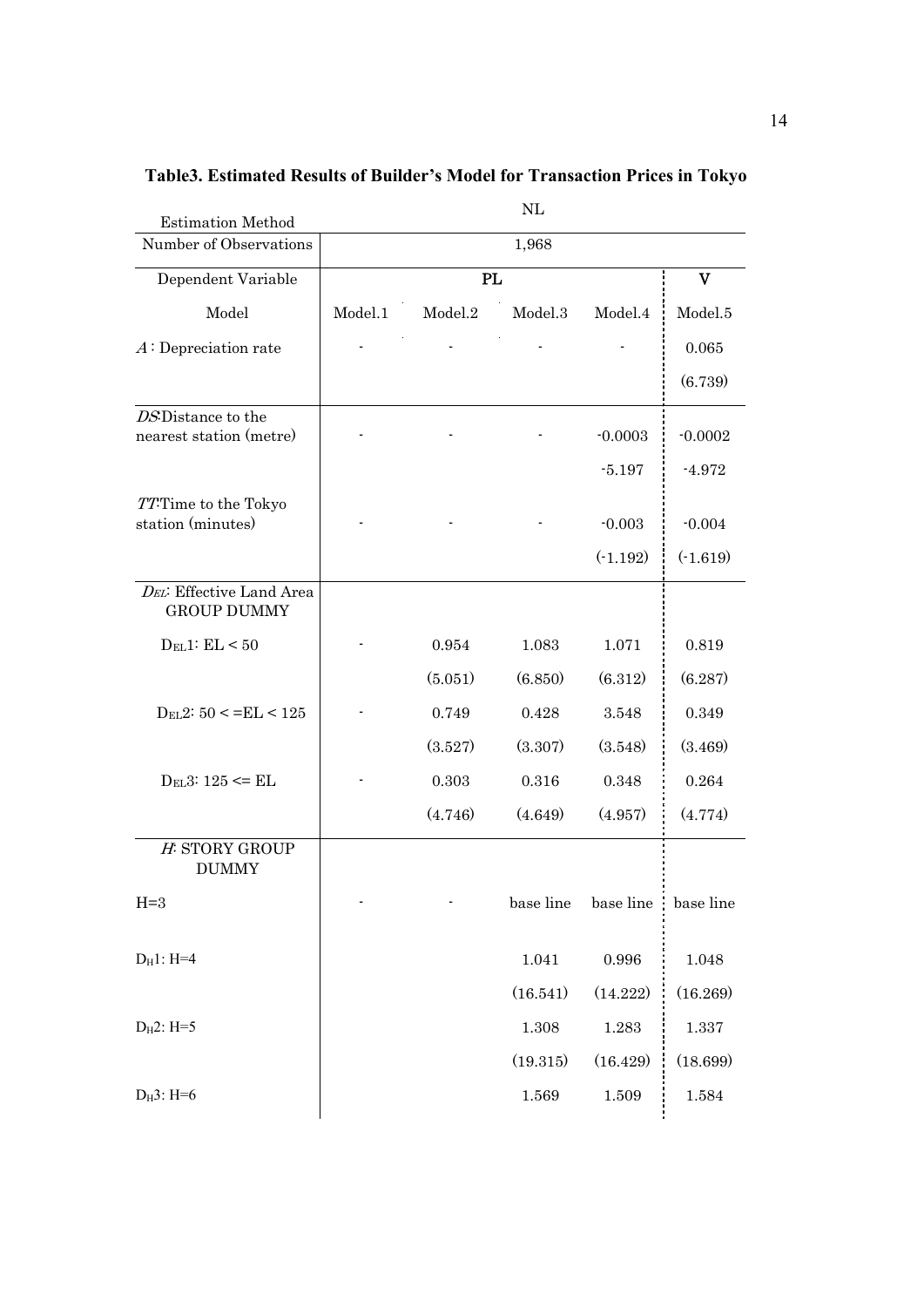| <b>Estimation Method</b>                       |         |         | NL        |            |              |  |
|------------------------------------------------|---------|---------|-----------|------------|--------------|--|
| Number of Observations                         | 1,968   |         |           |            |              |  |
| Dependent Variable                             | PL      |         |           |            | $\mathbf{V}$ |  |
| Model                                          | Model.1 | Model.2 | Model.3   | Model.4    | Model.5      |  |
| $A:$ Depreciation rate                         |         |         |           |            | 0.065        |  |
|                                                |         |         |           |            | (6.739)      |  |
| DS: Distance to the                            |         |         |           |            |              |  |
| nearest station (metre)                        |         |         |           | $-0.0003$  | $-0.0002$    |  |
|                                                |         |         |           | $-5.197$   | $-4.972$     |  |
| TT:Time to the Tokyo<br>station (minutes)      |         |         |           | $-0.003$   | $-0.004$     |  |
|                                                |         |         |           |            |              |  |
|                                                |         |         |           | $(-1.192)$ | $(-1.619)$   |  |
| DEL: Effective Land Area<br><b>GROUP DUMMY</b> |         |         |           |            |              |  |
| $D_{EL}1$ : $EL < 50$                          |         | 0.954   | 1.083     | 1.071      | 0.819        |  |
|                                                |         | (5.051) | (6.850)   | (6.312)    | (6.287)      |  |
| $D_{EL}2: 50 \leq ELL \leq 125$                |         | 0.749   | 0.428     | 3.548      | 0.349        |  |
|                                                |         | (3.527) | (3.307)   | (3.548)    | (3.469)      |  |
| $D_{EL}3: 125 \leq ELL$                        |         | 0.303   | 0.316     | 0.348      | 0.264        |  |
|                                                |         | (4.746) | (4.649)   | (4.957)    | (4.774)      |  |
| H: STORY GROUP<br><b>DUMMY</b>                 |         |         |           |            |              |  |
| $H=3$                                          |         |         | base line | base line  | base line    |  |
| $D_H$ 1: H=4                                   |         |         | 1.041     | 0.996      | 1.048        |  |
|                                                |         |         | (16.541)  | (14.222)   | (16.269)     |  |
| $D_H2$ : H=5                                   |         |         | 1.308     | 1.283      | 1.337        |  |
|                                                |         |         | (19.315)  | (16.429)   | (18.699)     |  |
| $D_H3$ : H=6                                   |         |         | 1.569     | 1.509      | 1.584        |  |

# **Table3. Estimated Results of Builder's Model for Transaction Prices in Tokyo**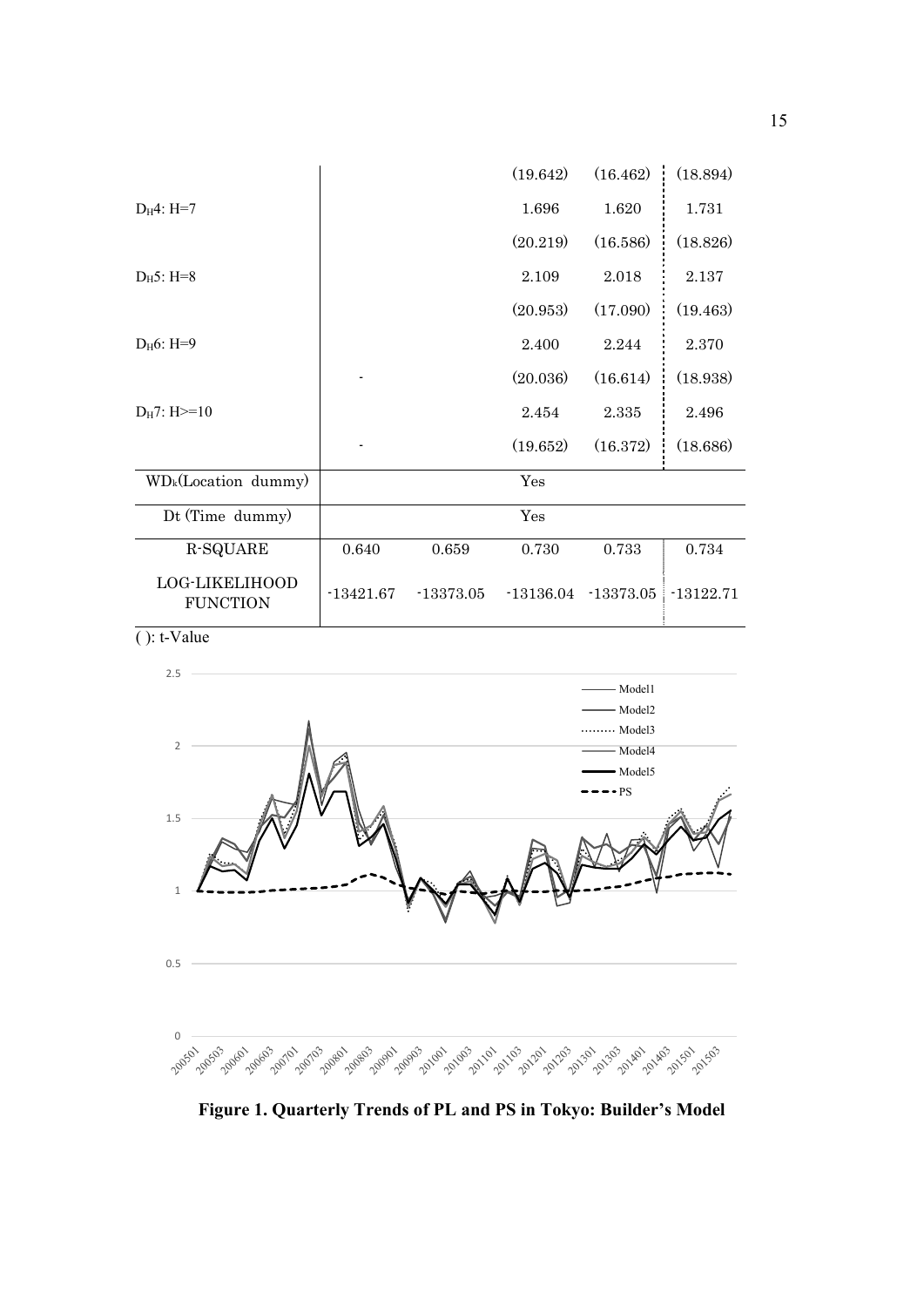|                                          |             |             | (19.642)    | (16.462)             | (18.894)    |
|------------------------------------------|-------------|-------------|-------------|----------------------|-------------|
| $D_H4: H=7$                              |             |             | 1.696       | 1.620                | 1.731       |
|                                          |             |             | (20.219)    | (16.586)             | (18.826)    |
| $D_H5$ : H=8                             |             |             | 2.109       | 2.018                | 2.137       |
|                                          |             |             | (20.953)    | (17.090)             | (19.463)    |
| $D_H6$ : H=9                             |             |             | 2.400       | 2.244                | 2.370       |
|                                          |             |             | (20.036)    | (16.614)             | (18.938)    |
| $D_H$ 7: H $>=$ 10                       |             |             | 2.454       | 2.335                | 2.496       |
|                                          |             |             | (19.652)    | (16.372)             | (18.686)    |
| WD <sub>k</sub> (Location dummy)         |             |             | Yes         |                      |             |
| Dt (Time dummy)                          |             |             | Yes         |                      |             |
| R-SQUARE                                 | 0.640       | 0.659       | 0.730       | 0.733                | 0.734       |
| <b>LOG-LIKELIHOOD</b><br><b>FUNCTION</b> | $-13421.67$ | $-13373.05$ | $-13136.04$ | $-13373.05$          | $-13122.71$ |
| $( )$ : t-Value                          |             |             |             |                      |             |
| 2.5                                      |             |             |             |                      |             |
|                                          |             |             |             | - Model1<br>- Model2 |             |
| Α                                        |             |             |             |                      |             |



**Figure 1. Quarterly Trends of PL and PS in Tokyo: Builder's Model**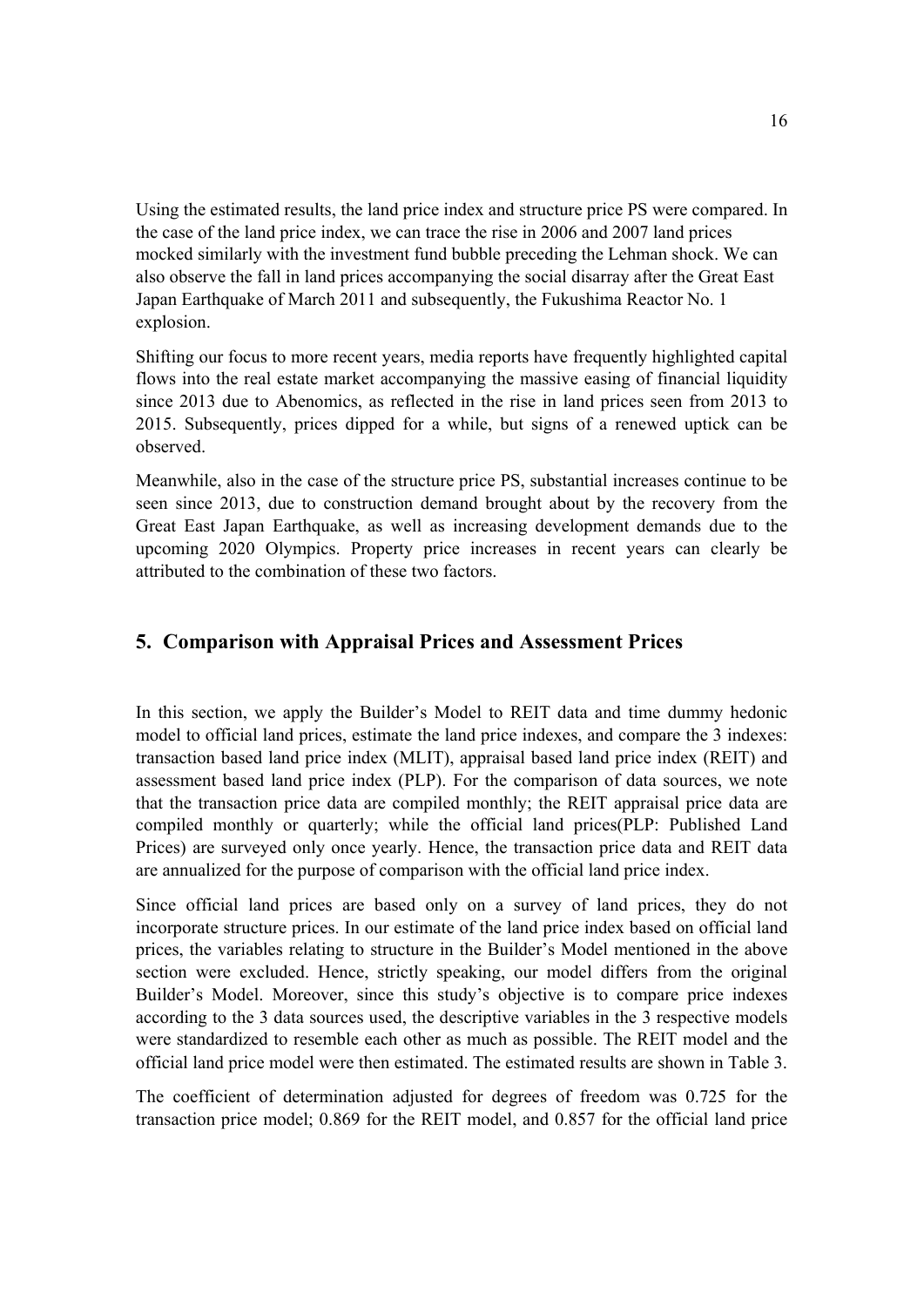Using the estimated results, the land price index and structure price PS were compared. In the case of the land price index, we can trace the rise in 2006 and 2007 land prices mocked similarly with the investment fund bubble preceding the Lehman shock. We can also observe the fall in land prices accompanying the social disarray after the Great East Japan Earthquake of March 2011 and subsequently, the Fukushima Reactor No. 1 explosion.

Shifting our focus to more recent years, media reports have frequently highlighted capital flows into the real estate market accompanying the massive easing of financial liquidity since 2013 due to Abenomics, as reflected in the rise in land prices seen from 2013 to 2015. Subsequently, prices dipped for a while, but signs of a renewed uptick can be observed.

Meanwhile, also in the case of the structure price PS, substantial increases continue to be seen since 2013, due to construction demand brought about by the recovery from the Great East Japan Earthquake, as well as increasing development demands due to the upcoming 2020 Olympics. Property price increases in recent years can clearly be attributed to the combination of these two factors.

# **5. Comparison with Appraisal Prices and Assessment Prices**

In this section, we apply the Builder's Model to REIT data and time dummy hedonic model to official land prices, estimate the land price indexes, and compare the 3 indexes: transaction based land price index (MLIT), appraisal based land price index (REIT) and assessment based land price index (PLP). For the comparison of data sources, we note that the transaction price data are compiled monthly; the REIT appraisal price data are compiled monthly or quarterly; while the official land prices(PLP: Published Land Prices) are surveyed only once yearly. Hence, the transaction price data and REIT data are annualized for the purpose of comparison with the official land price index.

Since official land prices are based only on a survey of land prices, they do not incorporate structure prices. In our estimate of the land price index based on official land prices, the variables relating to structure in the Builder's Model mentioned in the above section were excluded. Hence, strictly speaking, our model differs from the original Builder's Model. Moreover, since this study's objective is to compare price indexes according to the 3 data sources used, the descriptive variables in the 3 respective models were standardized to resemble each other as much as possible. The REIT model and the official land price model were then estimated. The estimated results are shown in Table 3.

The coefficient of determination adjusted for degrees of freedom was 0.725 for the transaction price model; 0.869 for the REIT model, and 0.857 for the official land price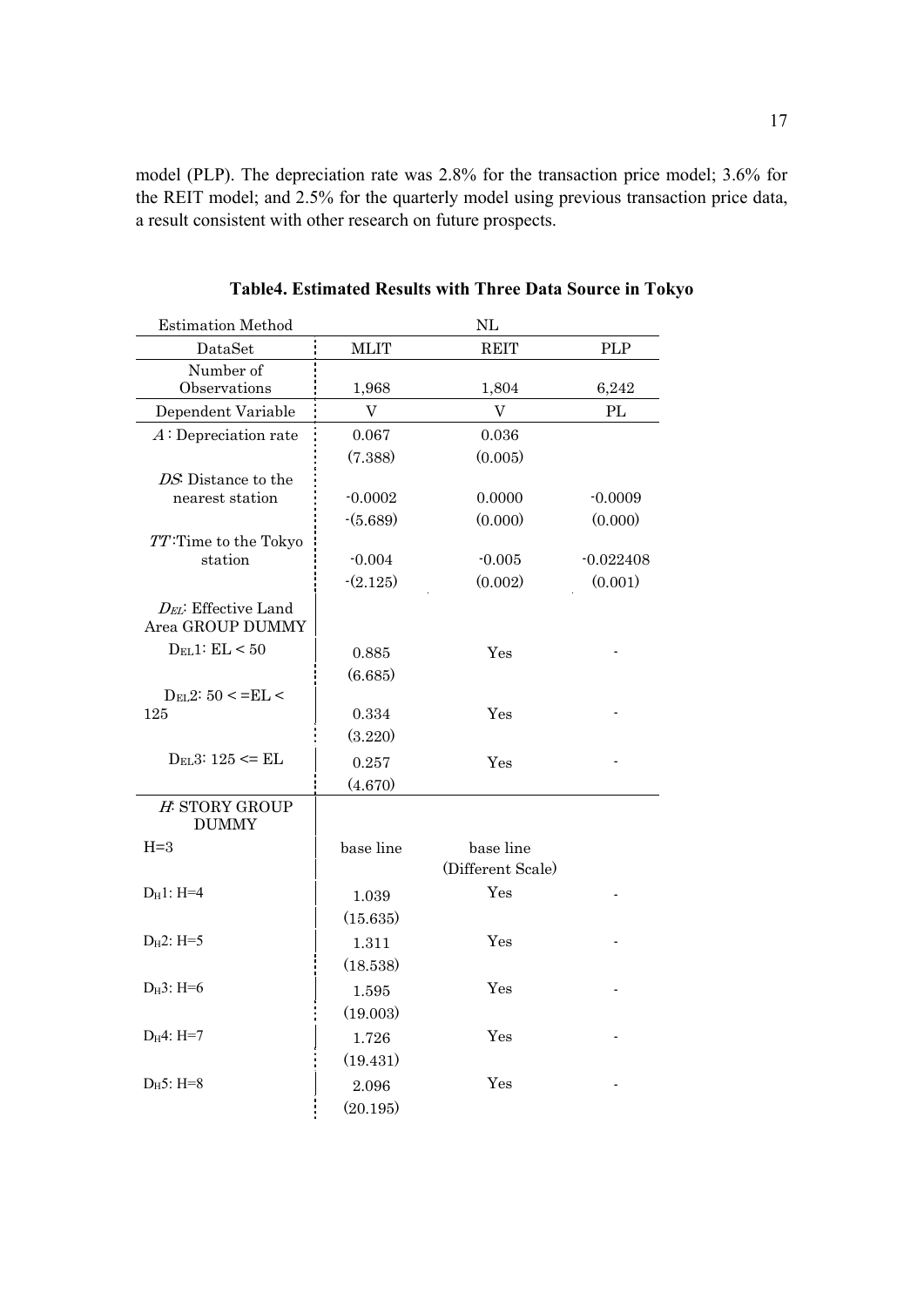model (PLP). The depreciation rate was 2.8% for the transaction price model; 3.6% for the REIT model; and 2.5% for the quarterly model using previous transaction price data, a result consistent with other research on future prospects.

| <b>Estimation Method</b>                |                           | NL                |             |
|-----------------------------------------|---------------------------|-------------------|-------------|
| DataSet                                 | <b>MLIT</b>               | <b>REIT</b>       | <b>PLP</b>  |
| Number of                               |                           |                   |             |
| Observations                            | 1,968                     | 1,804             | 6,242       |
| Dependent Variable                      | $\boldsymbol{\mathrm{V}}$ | V                 | PL          |
| $A:$ Depreciation rate                  | 0.067                     | 0.036             |             |
|                                         | (7.388)                   | (0.005)           |             |
| DS: Distance to the                     |                           |                   |             |
| nearest station                         | $-0.0002$                 | 0.0000            | $-0.0009$   |
|                                         | $-(5.689)$                | (0.000)           | (0.000)     |
| TT:Time to the Tokyo                    |                           |                   |             |
| station                                 | $-0.004$                  | $-0.005$          | $-0.022408$ |
|                                         | $-(2.125)$                | (0.002)           | (0.001)     |
| DEL: Effective Land<br>Area GROUP DUMMY |                           |                   |             |
| $D_{EL}1: EL < 50$                      | 0.885                     | Yes               |             |
|                                         | (6.685)                   |                   |             |
| $D_{EL}2: 50 < E_{LL}$                  |                           |                   |             |
| 125                                     | 0.334                     | Yes               |             |
|                                         | (3.220)                   |                   |             |
| $D_{EL}3: 125 \leq ELL$                 | 0.257                     | Yes               |             |
|                                         | (4.670)                   |                   |             |
| H: STORY GROUP<br><b>DUMMY</b>          |                           |                   |             |
| $H = 3$                                 | base line                 | base line         |             |
|                                         |                           | (Different Scale) |             |
| $D_H1: H=4$                             | 1.039                     | Yes               |             |
|                                         | (15.635)                  |                   |             |
| $D_H2$ : H=5                            | 1.311                     | Yes               |             |
|                                         | (18.538)                  |                   |             |
| $D_H3$ : H=6                            | 1.595                     | Yes               |             |
|                                         | (19.003)                  |                   |             |
| $D_H4: H=7$                             |                           | Yes               |             |
|                                         | 1.726                     |                   |             |
|                                         | (19.431)                  |                   |             |
| $D_H5$ : H=8                            | 2.096                     | Yes               |             |
|                                         | (20.195)                  |                   |             |

**Table4. Estimated Results with Three Data Source in Tokyo**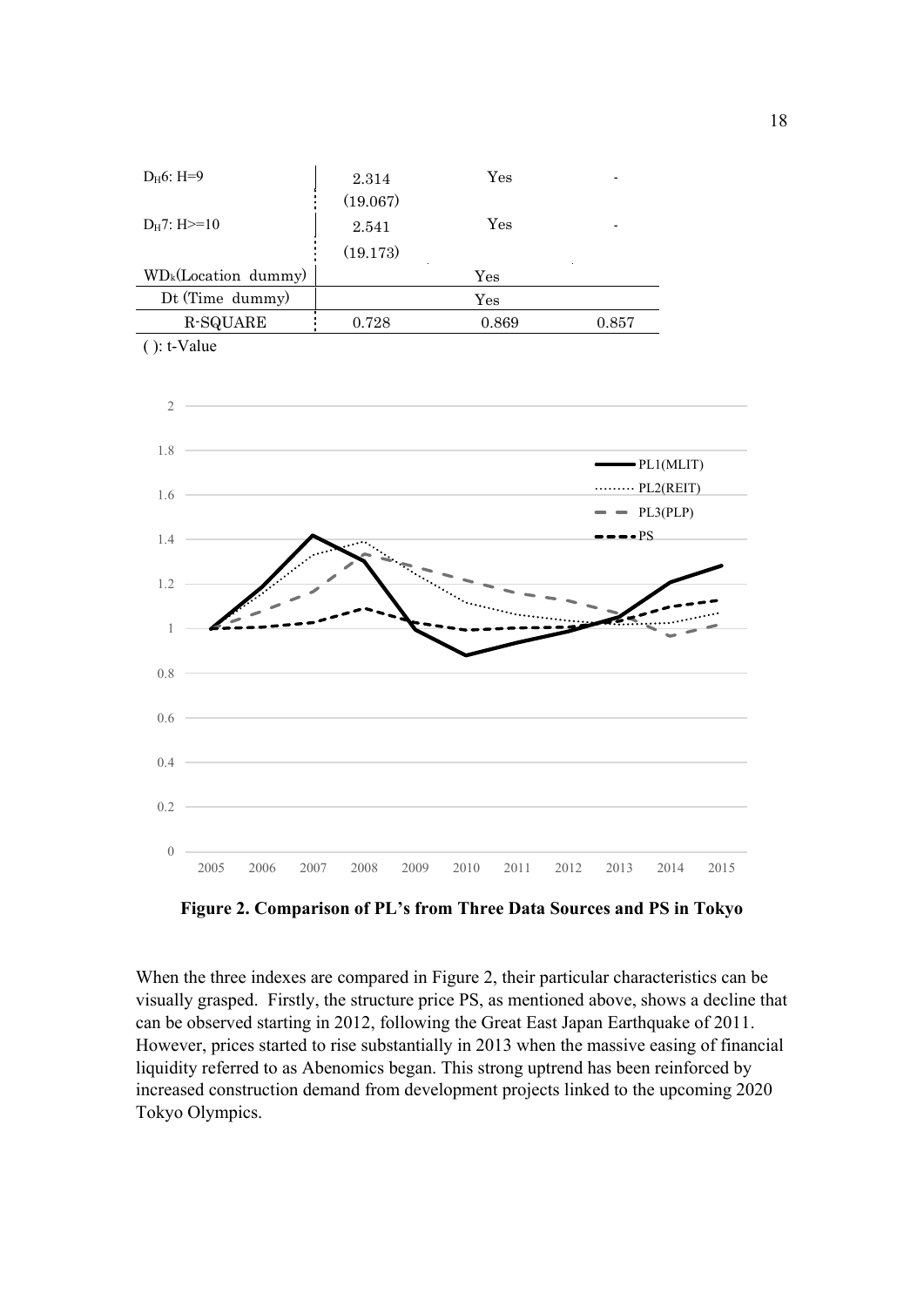| $D_H6$ : H=9           | 2.314    | $\operatorname{Yes}$ |       |
|------------------------|----------|----------------------|-------|
|                        | (19.067) |                      |       |
| $D_H$ 7: H $>=$ 10     | 2.541    | Yes                  |       |
|                        | (19.173) |                      |       |
| $WD_k(Location dummy)$ |          | $\operatorname{Yes}$ |       |
| Dt (Time dummy)        |          | $\operatorname{Yes}$ |       |
| <b>R-SQUARE</b>        | 0.728    | 0.869                | 0.857 |
| $()$ : t-Value         |          |                      |       |



**Figure 2. Comparison of PL's from Three Data Sources and PS in Tokyo**

When the three indexes are compared in Figure 2, their particular characteristics can be visually grasped. Firstly, the structure price PS, as mentioned above, shows a decline that can be observed starting in 2012, following the Great East Japan Earthquake of 2011. However, prices started to rise substantially in 2013 when the massive easing of financial liquidity referred to as Abenomics began. This strong uptrend has been reinforced by increased construction demand from development projects linked to the upcoming 2020 Tokyo Olympics.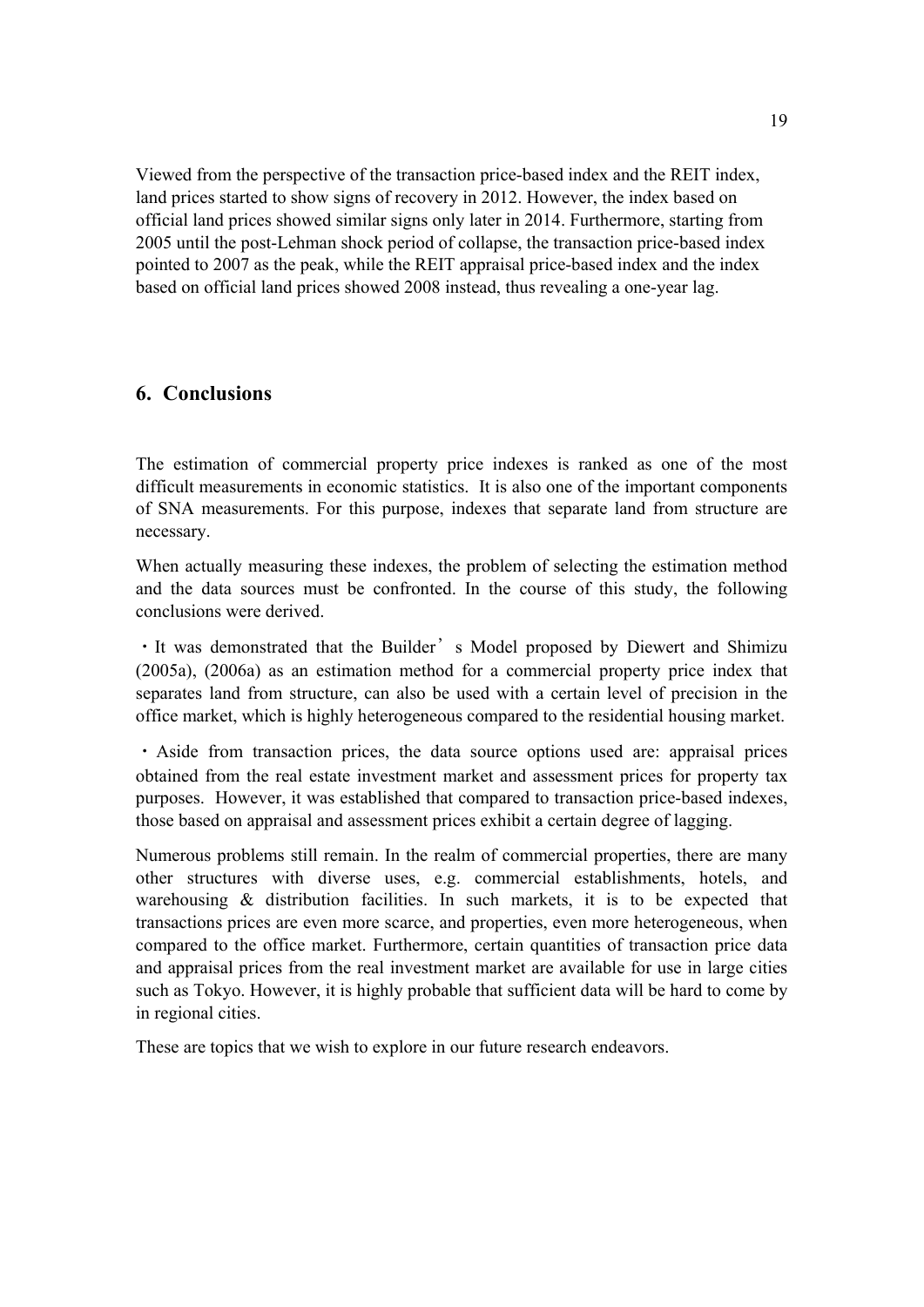Viewed from the perspective of the transaction price-based index and the REIT index, land prices started to show signs of recovery in 2012. However, the index based on official land prices showed similar signs only later in 2014. Furthermore, starting from 2005 until the post-Lehman shock period of collapse, the transaction price-based index pointed to 2007 as the peak, while the REIT appraisal price-based index and the index based on official land prices showed 2008 instead, thus revealing a one-year lag.

# **6. Conclusions**

The estimation of commercial property price indexes is ranked as one of the most difficult measurements in economic statistics. It is also one of the important components of SNA measurements. For this purpose, indexes that separate land from structure are necessary.

When actually measuring these indexes, the problem of selecting the estimation method and the data sources must be confronted. In the course of this study, the following conclusions were derived.

・It was demonstrated that the Builder's Model proposed by Diewert and Shimizu (2005a), (2006a) as an estimation method for a commercial property price index that separates land from structure, can also be used with a certain level of precision in the office market, which is highly heterogeneous compared to the residential housing market.

・Aside from transaction prices, the data source options used are: appraisal prices obtained from the real estate investment market and assessment prices for property tax purposes. However, it was established that compared to transaction price-based indexes, those based on appraisal and assessment prices exhibit a certain degree of lagging.

Numerous problems still remain. In the realm of commercial properties, there are many other structures with diverse uses, e.g. commercial establishments, hotels, and warehousing & distribution facilities. In such markets, it is to be expected that transactions prices are even more scarce, and properties, even more heterogeneous, when compared to the office market. Furthermore, certain quantities of transaction price data and appraisal prices from the real investment market are available for use in large cities such as Tokyo. However, it is highly probable that sufficient data will be hard to come by in regional cities.

These are topics that we wish to explore in our future research endeavors.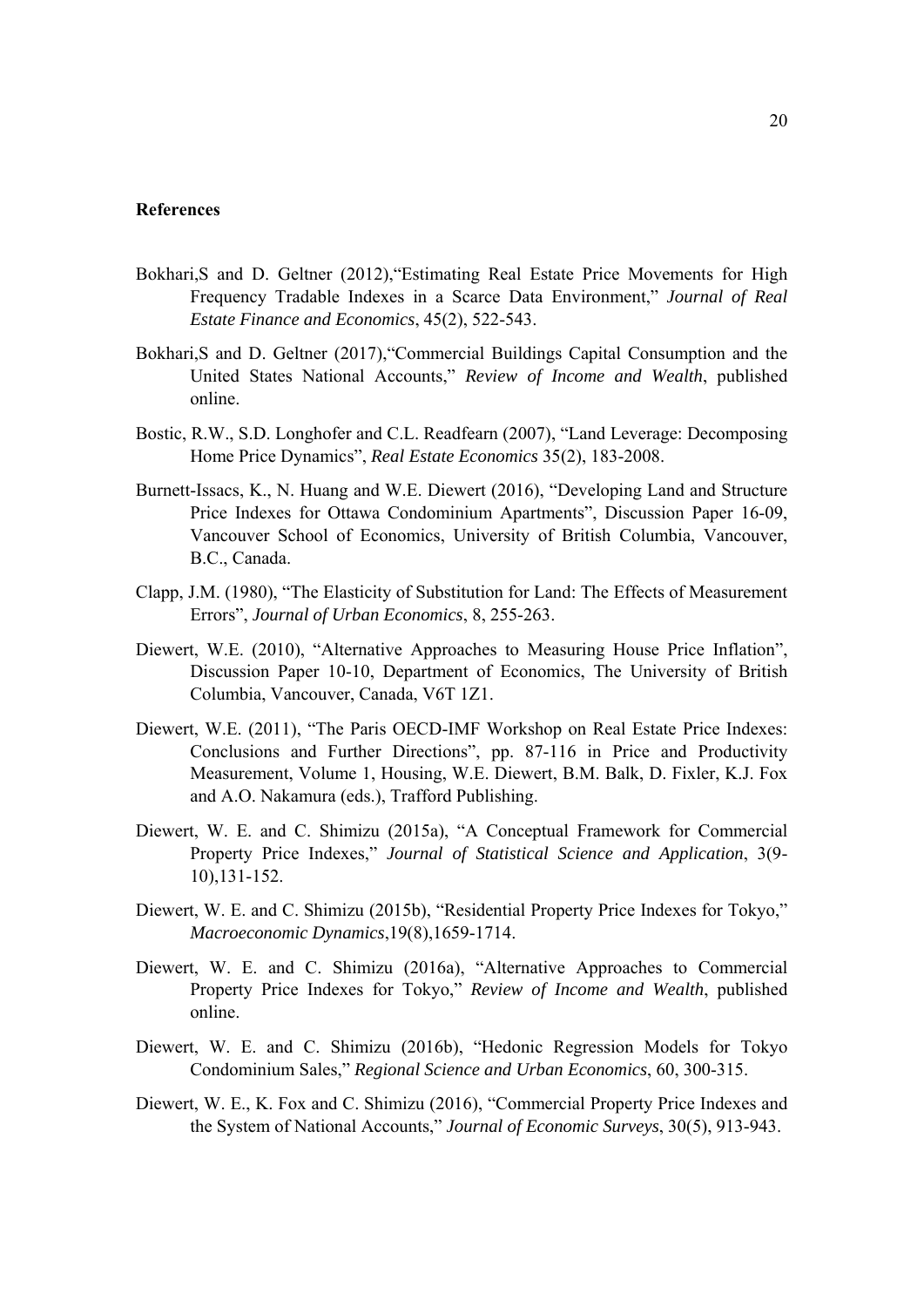#### **References**

- Bokhari,S and D. Geltner (2012),"Estimating Real Estate Price Movements for High Frequency Tradable Indexes in a Scarce Data Environment," *Journal of Real Estate Finance and Economics*, 45(2), 522-543.
- Bokhari,S and D. Geltner (2017),"Commercial Buildings Capital Consumption and the United States National Accounts," *Review of Income and Wealth*, published online.
- Bostic, R.W., S.D. Longhofer and C.L. Readfearn (2007), "Land Leverage: Decomposing Home Price Dynamics", *Real Estate Economics* 35(2), 183-2008.
- Burnett-Issacs, K., N. Huang and W.E. Diewert (2016), "Developing Land and Structure Price Indexes for Ottawa Condominium Apartments", Discussion Paper 16-09, Vancouver School of Economics, University of British Columbia, Vancouver, B.C., Canada.
- Clapp, J.M. (1980), "The Elasticity of Substitution for Land: The Effects of Measurement Errors", *Journal of Urban Economics*, 8, 255-263.
- Diewert, W.E. (2010), "Alternative Approaches to Measuring House Price Inflation", Discussion Paper 10-10, Department of Economics, The University of British Columbia, Vancouver, Canada, V6T 1Z1.
- Diewert, W.E. (2011), "The Paris OECD-IMF Workshop on Real Estate Price Indexes: Conclusions and Further Directions", pp. 87-116 in Price and Productivity Measurement, Volume 1, Housing, W.E. Diewert, B.M. Balk, D. Fixler, K.J. Fox and A.O. Nakamura (eds.), Trafford Publishing.
- Diewert, W. E. and C. Shimizu (2015a), "A Conceptual Framework for Commercial Property Price Indexes," *Journal of Statistical Science and Application*, 3(9- 10),131-152.
- Diewert, W. E. and C. Shimizu (2015b), "Residential Property Price Indexes for Tokyo," *Macroeconomic Dynamics*,19(8),1659-1714.
- Diewert, W. E. and C. Shimizu (2016a), "Alternative Approaches to Commercial Property Price Indexes for Tokyo," *Review of Income and Wealth*, published online.
- Diewert, W. E. and C. Shimizu (2016b), "Hedonic Regression Models for Tokyo Condominium Sales," *Regional Science and Urban Economics*, 60, 300-315.
- Diewert, W. E., K. Fox and C. Shimizu (2016), "Commercial Property Price Indexes and the System of National Accounts," *Journal of Economic Surveys*, 30(5), 913-943.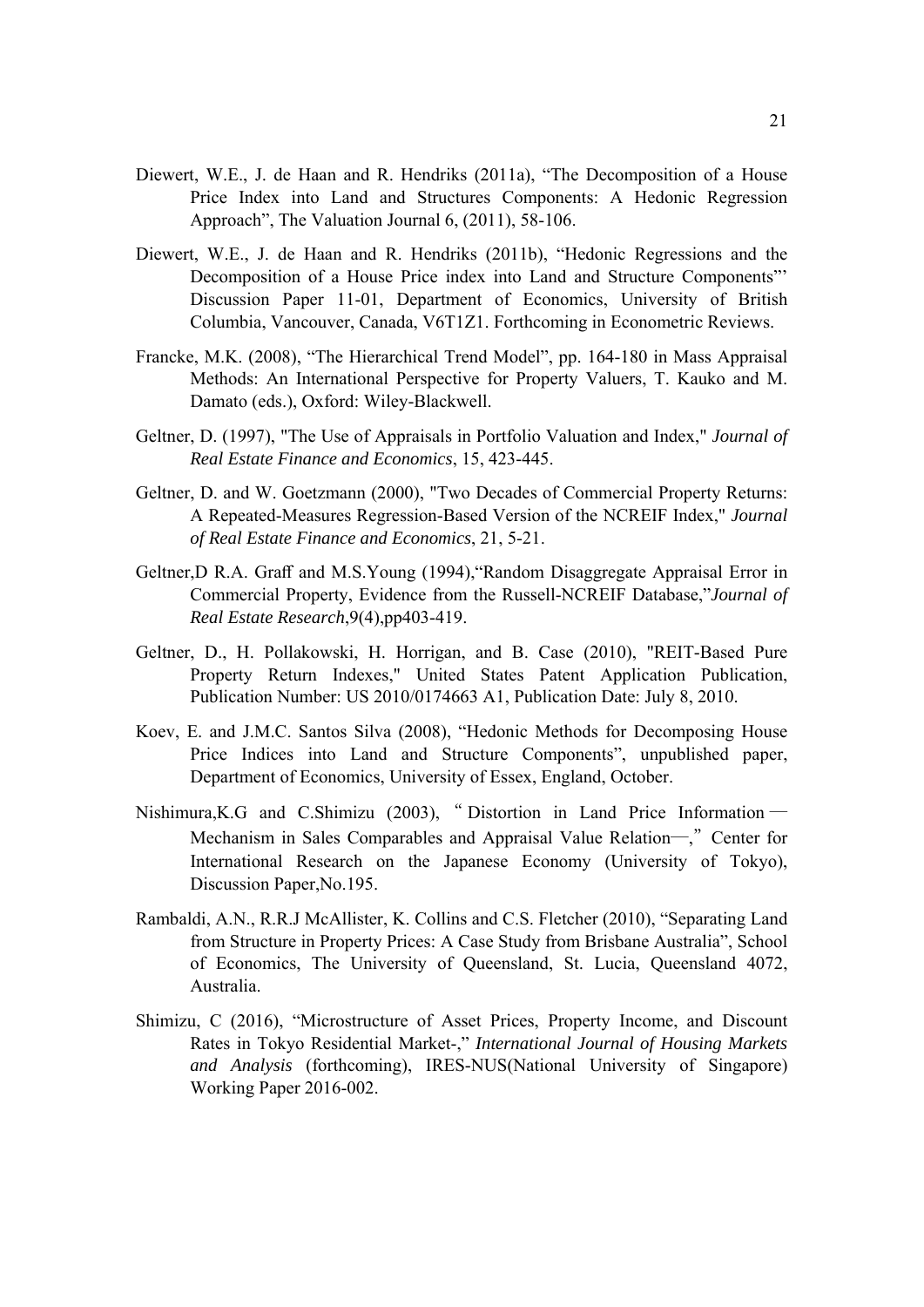- Diewert, W.E., J. de Haan and R. Hendriks (2011a), "The Decomposition of a House Price Index into Land and Structures Components: A Hedonic Regression Approach", The Valuation Journal 6, (2011), 58-106.
- Diewert, W.E., J. de Haan and R. Hendriks (2011b), "Hedonic Regressions and the Decomposition of a House Price index into Land and Structure Components"' Discussion Paper 11-01, Department of Economics, University of British Columbia, Vancouver, Canada, V6T1Z1. Forthcoming in Econometric Reviews.
- Francke, M.K. (2008), "The Hierarchical Trend Model", pp. 164-180 in Mass Appraisal Methods: An International Perspective for Property Valuers, T. Kauko and M. Damato (eds.), Oxford: Wiley-Blackwell.
- Geltner, D. (1997), "The Use of Appraisals in Portfolio Valuation and Index," *Journal of Real Estate Finance and Economics*, 15, 423-445.
- Geltner, D. and W. Goetzmann (2000), "Two Decades of Commercial Property Returns: A Repeated-Measures Regression-Based Version of the NCREIF Index," *Journal of Real Estate Finance and Economics*, 21, 5-21.
- Geltner,D R.A. Graff and M.S.Young (1994),"Random Disaggregate Appraisal Error in Commercial Property, Evidence from the Russell-NCREIF Database,"*Journal of Real Estate Research*,9(4),pp403-419.
- Geltner, D., H. Pollakowski, H. Horrigan, and B. Case (2010), "REIT-Based Pure Property Return Indexes," United States Patent Application Publication, Publication Number: US 2010/0174663 A1, Publication Date: July 8, 2010.
- Koev, E. and J.M.C. Santos Silva (2008), "Hedonic Methods for Decomposing House Price Indices into Land and Structure Components", unpublished paper, Department of Economics, University of Essex, England, October.
- Nishimura,K.G and C.Shimizu (2003), " Distortion in Land Price Information ― Mechanism in Sales Comparables and Appraisal Value Relation—," Center for International Research on the Japanese Economy (University of Tokyo), Discussion Paper,No.195.
- Rambaldi, A.N., R.R.J McAllister, K. Collins and C.S. Fletcher (2010), "Separating Land from Structure in Property Prices: A Case Study from Brisbane Australia", School of Economics, The University of Queensland, St. Lucia, Queensland 4072, Australia.
- Shimizu, C (2016), "Microstructure of Asset Prices, Property Income, and Discount Rates in Tokyo Residential Market-," *International Journal of Housing Markets and Analysis* (forthcoming), IRES-NUS(National University of Singapore) Working Paper 2016-002.